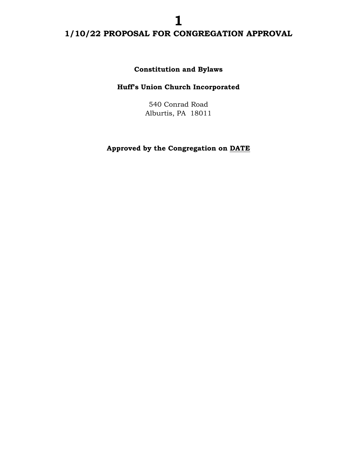**Constitution and Bylaws**

## **Huff's Union Church Incorporated**

540 Conrad Road Alburtis, PA 18011

**Approved by the Congregation on DATE**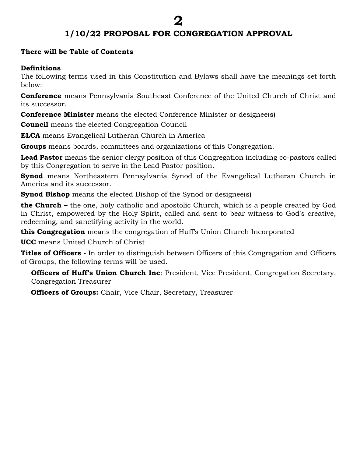#### **There will be Table of Contents**

#### **Definitions**

The following terms used in this Constitution and Bylaws shall have the meanings set forth below:

**Conference** means Pennsylvania Southeast Conference of the United Church of Christ and its successor.

**Conference Minister** means the elected Conference Minister or designee(s)

**Council** means the elected Congregation Council

**ELCA** means Evangelical Lutheran Church in America

**Groups** means boards, committees and organizations of this Congregation.

Lead Pastor means the senior clergy position of this Congregation including co-pastors called by this Congregation to serve in the Lead Pastor position.

**Synod** means Northeastern Pennsylvania Synod of the Evangelical Lutheran Church in America and its successor.

**Synod Bishop** means the elected Bishop of the Synod or designee(s)

**the Church –** the one, holy catholic and apostolic Church, which is a people created by God in Christ, empowered by the Holy Spirit, called and sent to bear witness to God's creative, redeeming, and sanctifying activity in the world.

**this Congregation** means the congregation of Huff's Union Church Incorporated

**UCC** means United Church of Christ

**Titles of Officers -** In order to distinguish between Officers of this Congregation and Officers of Groups, the following terms will be used.

**Officers of Huff's Union Church Inc**: President, Vice President, Congregation Secretary, Congregation Treasurer

**Officers of Groups:** Chair, Vice Chair, Secretary, Treasurer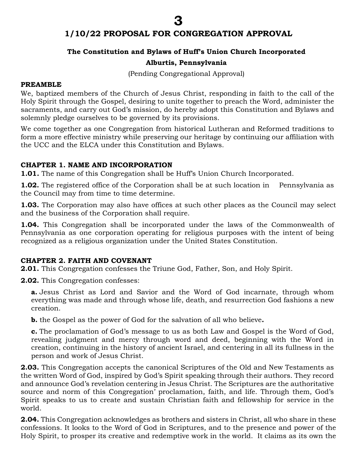#### **The Constitution and Bylaws of Huff's Union Church Incorporated**

#### **Alburtis, Pennsylvania**

(Pending Congregational Approval)

#### **PREAMBLE**

We, baptized members of the Church of Jesus Christ, responding in faith to the call of the Holy Spirit through the Gospel, desiring to unite together to preach the Word, administer the sacraments, and carry out God's mission, do hereby adopt this Constitution and Bylaws and solemnly pledge ourselves to be governed by its provisions.

We come together as one Congregation from historical Lutheran and Reformed traditions to form a more effective ministry while preserving our heritage by continuing our affiliation with the UCC and the ELCA under this Constitution and Bylaws.

#### **CHAPTER 1. NAME AND INCORPORATION**

**1.01***.* The name of this Congregation shall be Huff's Union Church Incorporated.

**1.02.** The registered office of the Corporation shall be at such location in Pennsylvania as the Council may from time to time determine.

**1.03.** The Corporation may also have offices at such other places as the Council may select and the business of the Corporation shall require.

**1.04.** This Congregation shall be incorporated under the laws of the Commonwealth of Pennsylvania as one corporation operating for religious purposes with the intent of being recognized as a religious organization under the United States Constitution.

#### **CHAPTER 2. FAITH AND COVENANT**

**2.01.** This Congregation confesses the Triune God, Father, Son, and Holy Spirit.

**2.02.** This Congregation confesses:

**a.** Jesus Christ as Lord and Savior and the Word of God incarnate, through whom everything was made and through whose life, death, and resurrection God fashions a new creation.

**b.** the Gospel as the power of God for the salvation of all who believe**.** 

**c.** The proclamation of God's message to us as both Law and Gospel is the Word of God, revealing judgment and mercy through word and deed, beginning with the Word in creation, continuing in the history of ancient Israel, and centering in all its fullness in the person and work of Jesus Christ.

**2.03.** This Congregation accepts the canonical Scriptures of the Old and New Testaments as the written Word of God, inspired by God's Spirit speaking through their authors. They record and announce God's revelation centering in Jesus Christ. The Scriptures are the authoritative source and norm of this Congregation' proclamation, faith, and life. Through them, God's Spirit speaks to us to create and sustain Christian faith and fellowship for service in the world.

**2.04.** This Congregation acknowledges as brothers and sisters in Christ, all who share in these confessions. It looks to the Word of God in Scriptures, and to the presence and power of the Holy Spirit, to prosper its creative and redemptive work in the world. It claims as its own the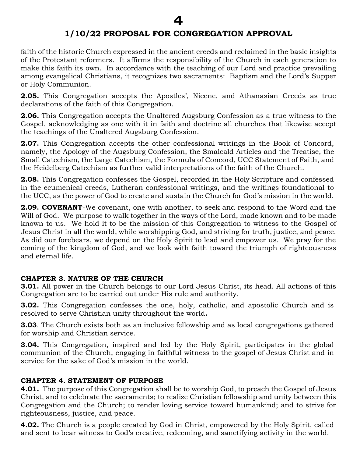faith of the historic Church expressed in the ancient creeds and reclaimed in the basic insights of the Protestant reformers. It affirms the responsibility of the Church in each generation to make this faith its own. In accordance with the teaching of our Lord and practice prevailing among evangelical Christians, it recognizes two sacraments: Baptism and the Lord's Supper or Holy Communion.

**2.05.** This Congregation accepts the Apostles', Nicene, and Athanasian Creeds as true declarations of the faith of this Congregation.

**2.06.** This Congregation accepts the Unaltered Augsburg Confession as a true witness to the Gospel, acknowledging as one with it in faith and doctrine all churches that likewise accept the teachings of the Unaltered Augsburg Confession.

**2.07.** This Congregation accepts the other confessional writings in the Book of Concord, namely, the Apology of the Augsburg Confession, the Smalcald Articles and the Treatise, the Small Catechism, the Large Catechism, the Formula of Concord, UCC Statement of Faith, and the Heidelberg Catechism as further valid interpretations of the faith of the Church.

**2.08.** This Congregation confesses the Gospel, recorded in the Holy Scripture and confessed in the ecumenical creeds, Lutheran confessional writings, and the writings foundational to the UCC, as the power of God to create and sustain the Church for God's mission in the world.

**2.09. COVENANT**-We covenant, one with another, to seek and respond to the Word and the Will of God. We purpose to walk together in the ways of the Lord, made known and to be made known to us. We hold it to be the mission of this Congregation to witness to the Gospel of Jesus Christ in all the world, while worshipping God, and striving for truth, justice, and peace. As did our forebears, we depend on the Holy Spirit to lead and empower us. We pray for the coming of the kingdom of God, and we look with faith toward the triumph of righteousness and eternal life.

#### **CHAPTER 3. NATURE OF THE CHURCH**

**3.01.** All power in the Church belongs to our Lord Jesus Christ, its head. All actions of this Congregation are to be carried out under His rule and authority.

**3.02.** This Congregation confesses the one, holy, catholic, and apostolic Church and is resolved to serve Christian unity throughout the world*.* 

**3.03**. The Church exists both as an inclusive fellowship and as local congregations gathered for worship and Christian service.

**3.04.** This Congregation, inspired and led by the Holy Spirit, participates in the global communion of the Church, engaging in faithful witness to the gospel of Jesus Christ and in service for the sake of God's mission in the world.

#### **CHAPTER 4. STATEMENT OF PURPOSE**

**4.01.** The purpose of this Congregation shall be to worship God, to preach the Gospel of Jesus Christ, and to celebrate the sacraments; to realize Christian fellowship and unity between this Congregation and the Church; to render loving service toward humankind; and to strive for righteousness, justice, and peace.

**4.02.** The Church is a people created by God in Christ, empowered by the Holy Spirit, called and sent to bear witness to God's creative, redeeming, and sanctifying activity in the world.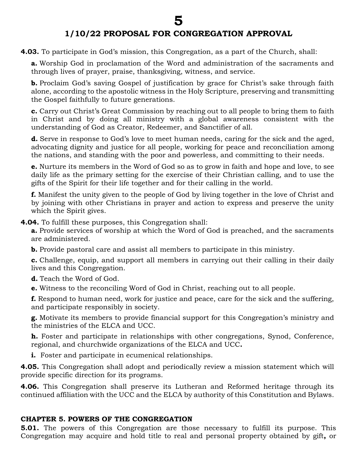**4.03.** To participate in God's mission, this Congregation, as a part of the Church, shall:

**a.** Worship God in proclamation of the Word and administration of the sacraments and through lives of prayer, praise, thanksgiving, witness, and service.

**b.** Proclaim God's saving Gospel of justification by grace for Christ's sake through faith alone, according to the apostolic witness in the Holy Scripture, preserving and transmitting the Gospel faithfully to future generations.

**c.** Carry out Christ's Great Commission by reaching out to all people to bring them to faith in Christ and by doing all ministry with a global awareness consistent with the understanding of God as Creator, Redeemer, and Sanctifier of all.

**d.** Serve in response to God's love to meet human needs, caring for the sick and the aged, advocating dignity and justice for all people, working for peace and reconciliation among the nations, and standing with the poor and powerless, and committing to their needs.

**e.** Nurture its members in the Word of God so as to grow in faith and hope and love, to see daily life as the primary setting for the exercise of their Christian calling, and to use the gifts of the Spirit for their life together and for their calling in the world.

**f.** Manifest the unity given to the people of God by living together in the love of Christ and by joining with other Christians in prayer and action to express and preserve the unity which the Spirit gives.

**4.04.** To fulfill these purposes, this Congregation shall:

**a.** Provide services of worship at which the Word of God is preached, and the sacraments are administered.

**b.** Provide pastoral care and assist all members to participate in this ministry.

**c.** Challenge, equip, and support all members in carrying out their calling in their daily lives and this Congregation.

**d.** Teach the Word of God.

**e.** Witness to the reconciling Word of God in Christ, reaching out to all people.

**f.** Respond to human need, work for justice and peace, care for the sick and the suffering, and participate responsibly in society.

**g.** Motivate its members to provide financial support for this Congregation's ministry and the ministries of the ELCA and UCC.

**h.** Foster and participate in relationships with other congregations, Synod, Conference, regional, and churchwide organizations of the ELCA and UCC**.**

**i.** Foster and participate in ecumenical relationships.

**4.05.** This Congregation shall adopt and periodically review a mission statement which will provide specific direction for its programs.

**4.06.** This Congregation shall preserve its Lutheran and Reformed heritage through its continued affiliation with the UCC and the ELCA by authority of this Constitution and Bylaws.

#### **CHAPTER 5. POWERS OF THE CONGREGATION**

**5.01.** The powers of this Congregation are those necessary to fulfill its purpose. This Congregation may acquire and hold title to real and personal property obtained by gift**,** or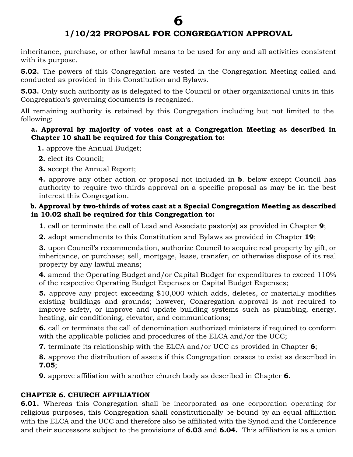inheritance, purchase, or other lawful means to be used for any and all activities consistent with its purpose.

**5.02.** The powers of this Congregation are vested in the Congregation Meeting called and conducted as provided in this Constitution and Bylaws.

**5.03.** Only such authority as is delegated to the Council or other organizational units in this Congregation's governing documents is recognized.

All remaining authority is retained by this Congregation including but not limited to the following:

## **a. Approval by majority of votes cast at a Congregation Meeting as described in Chapter 10 shall be required for this Congregation to:**

 **1.** approve the Annual Budget;

**2.** elect its Council;

**3.** accept the Annual Report;

 **4.** approve any other action or proposal not included in **b**. below except Council has authority to require two-thirds approval on a specific proposal as may be in the best interest this Congregation.

## **b. Approval by two-thirds of votes cast at a Special Congregation Meeting as described in 10.02 shall be required for this Congregation to:**

**1**. call or terminate the call of Lead and Associate pastor(s) as provided in Chapter **9**;

**2.** adopt amendments to this Constitution and Bylaws as provided in Chapter **19**;

**3.** upon Council's recommendation, authorize Council to acquire real property by gift, or inheritance, or purchase; sell, mortgage, lease, transfer, or otherwise dispose of its real property by any lawful means;

**4.** amend the Operating Budget and/or Capital Budget for expenditures to exceed 110% of the respective Operating Budget Expenses or Capital Budget Expenses;

**5.** approve any project exceeding \$10,000 which adds, deletes, or materially modifies existing buildings and grounds; however, Congregation approval is not required to improve safety, or improve and update building systems such as plumbing, energy, heating, air conditioning, elevator, and communications;

**6.** call or terminate the call of denomination authorized ministers if required to conform with the applicable policies and procedures of the ELCA and/or the UCC;

**7.** terminate its relationship with the ELCA and/or UCC as provided in Chapter **6**;

**8.** approve the distribution of assets if this Congregation ceases to exist as described in **7.05**;

**9.** approve affiliation with another church body as described in Chapter **6.**

## **CHAPTER 6. CHURCH AFFILIATION**

**6.01.** Whereas this Congregation shall be incorporated as one corporation operating for religious purposes, this Congregation shall constitutionally be bound by an equal affiliation with the ELCA and the UCC and therefore also be affiliated with the Synod and the Conference and their successors subject to the provisions of **6.03** and **6.04.** This affiliation is as a union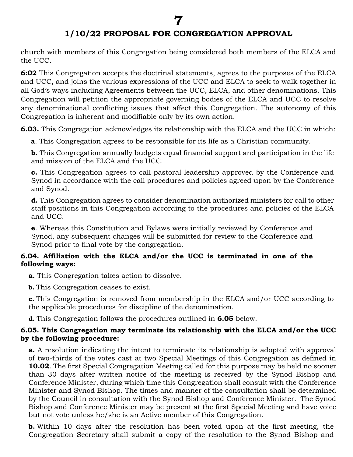**7**

church with members of this Congregation being considered both members of the ELCA and the UCC.

**6:02** This Congregation accepts the doctrinal statements, agrees to the purposes of the ELCA and UCC, and joins the various expressions of the UCC and ELCA to seek to walk together in all God's ways including Agreements between the UCC, ELCA, and other denominations. This Congregation will petition the appropriate governing bodies of the ELCA and UCC to resolve any denominational conflicting issues that affect this Congregation. The autonomy of this Congregation is inherent and modifiable only by its own action.

**6.03.** This Congregation acknowledges its relationship with the ELCA and the UCC in which:

**a**. This Congregation agrees to be responsible for its life as a Christian community.

**b.** This Congregation annually budgets equal financial support and participation in the life and mission of the ELCA and the UCC.

**c.** This Congregation agrees to call pastoral leadership approved by the Conference and Synod in accordance with the call procedures and policies agreed upon by the Conference and Synod.

**d.** This Congregation agrees to consider denomination authorized ministers for call to other staff positions in this Congregation according to the procedures and policies of the ELCA and UCC.

**e**. Whereas this Constitution and Bylaws were initially reviewed by Conference and Synod, any subsequent changes will be submitted for review to the Conference and Synod prior to final vote by the congregation.

#### **6.04. Affiliation with the ELCA and/or the UCC is terminated in one of the following ways:**

**a.** This Congregation takes action to dissolve.

**b.** This Congregation ceases to exist.

**c.** This Congregation is removed from membership in the ELCA and/or UCC according to the applicable procedures for discipline of the denomination.

**d.** This Congregation follows the procedures outlined in **6.05** below.

#### **6.05. This Congregation may terminate its relationship with the ELCA and/or the UCC by the following procedure:**

**a.** A resolution indicating the intent to terminate its relationship is adopted with approval of two-thirds of the votes cast at two Special Meetings of this Congregation as defined in **10.02**. The first Special Congregation Meeting called for this purpose may be held no sooner than 30 days after written notice of the meeting is received by the Synod Bishop and Conference Minister, during which time this Congregation shall consult with the Conference Minister and Synod Bishop. The times and manner of the consultation shall be determined by the Council in consultation with the Synod Bishop and Conference Minister. The Synod Bishop and Conference Minister may be present at the first Special Meeting and have voice but not vote unless he/she is an Active member of this Congregation.

**b.** Within 10 days after the resolution has been voted upon at the first meeting, the Congregation Secretary shall submit a copy of the resolution to the Synod Bishop and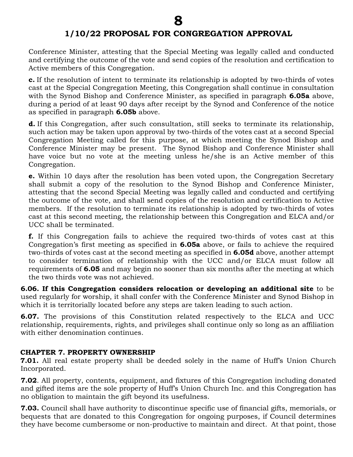Conference Minister, attesting that the Special Meeting was legally called and conducted and certifying the outcome of the vote and send copies of the resolution and certification to Active members of this Congregation.

**c.** If the resolution of intent to terminate its relationship is adopted by two-thirds of votes cast at the Special Congregation Meeting, this Congregation shall continue in consultation with the Synod Bishop and Conference Minister, as specified in paragraph **6.05a** above, during a period of at least 90 days after receipt by the Synod and Conference of the notice as specified in paragraph **6.05b** above.

**d.** If this Congregation, after such consultation, still seeks to terminate its relationship, such action may be taken upon approval by two-thirds of the votes cast at a second Special Congregation Meeting called for this purpose, at which meeting the Synod Bishop and Conference Minister may be present. The Synod Bishop and Conference Minister shall have voice but no vote at the meeting unless he/she is an Active member of this Congregation.

**e.** Within 10 days after the resolution has been voted upon, the Congregation Secretary shall submit a copy of the resolution to the Synod Bishop and Conference Minister, attesting that the second Special Meeting was legally called and conducted and certifying the outcome of the vote, and shall send copies of the resolution and certification to Active members. If the resolution to terminate its relationship is adopted by two-thirds of votes cast at this second meeting, the relationship between this Congregation and ELCA and/or UCC shall be terminated.

**f.** If this Congregation fails to achieve the required two-thirds of votes cast at this Congregation's first meeting as specified in **6.05a** above, or fails to achieve the required two-thirds of votes cast at the second meeting as specified in **6.05d** above, another attempt to consider termination of relationship with the UCC and/or ELCA must follow all requirements of **6.05** and may begin no sooner than six months after the meeting at which the two thirds vote was not achieved.

**6.06. If this Congregation considers relocation or developing an additional site** to be used regularly for worship, it shall confer with the Conference Minister and Synod Bishop in which it is territorially located before any steps are taken leading to such action.

**6.07.** The provisions of this Constitution related respectively to the ELCA and UCC relationship, requirements, rights, and privileges shall continue only so long as an affiliation with either denomination continues.

#### **CHAPTER 7. PROPERTY OWNERSHIP**

**7.01.** All real estate property shall be deeded solely in the name of Huff's Union Church Incorporated.

**7.02**. All property, contents, equipment, and fixtures of this Congregation including donated and gifted items are the sole property of Huff's Union Church Inc. and this Congregation has no obligation to maintain the gift beyond its usefulness.

**7.03.** Council shall have authority to discontinue specific use of financial gifts, memorials, or bequests that are donated to this Congregation for ongoing purposes, if Council determines they have become cumbersome or non-productive to maintain and direct. At that point, those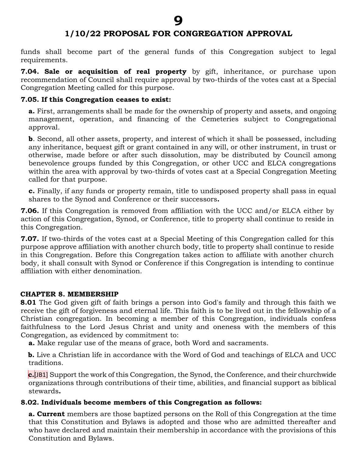funds shall become part of the general funds of this Congregation subject to legal requirements.

**7.04. Sale or acquisition of real property** by gift, inheritance, or purchase upon recommendation of Council shall require approval by two-thirds of the votes cast at a Special Congregation Meeting called for this purpose.

#### **7.05. If this Congregation ceases to exist:**

**a.** First, arrangements shall be made for the ownership of property and assets, and ongoing management, operation, and financing of the Cemeteries subject to Congregational approval.

**b**. Second, all other assets, property, and interest of which it shall be possessed, including any inheritance, bequest gift or grant contained in any will, or other instrument, in trust or otherwise, made before or after such dissolution, may be distributed by Council among benevolence groups funded by this Congregation, or other UCC and ELCA congregations within the area with approval by two-thirds of votes cast at a Special Congregation Meeting called for that purpose.

**c.** Finally, if any funds or property remain, title to undisposed property shall pass in equal shares to the Synod and Conference or their successors**.** 

**7.06.** If this Congregation is removed from affiliation with the UCC and/or ELCA either by action of this Congregation, Synod, or Conference, title to property shall continue to reside in this Congregation.

**7.07.** If two-thirds of the votes cast at a Special Meeting of this Congregation called for this purpose approve affiliation with another church body, title to property shall continue to reside in this Congregation. Before this Congregation takes action to affiliate with another church body, it shall consult with Synod or Conference if this Congregation is intending to continue affiliation with either denomination.

#### **CHAPTER 8. MEMBERSHIP**

**8.01** The God given gift of faith brings a person into God's family and through this faith we receive the gift of forgiveness and eternal life. This faith is to be lived out in the fellowship of a Christian congregation. In becoming a member of this Congregation, individuals confess faithfulness to the Lord Jesus Christ and unity and oneness with the members of this Congregation, as evidenced by commitment to:

**a.** Make regular use of the means of grace, both Word and sacraments.

 **b.** Live a Christian life in accordance with the Word of God and teachings of ELCA and UCC traditions.

**c.**[JB1] Support the work of this Congregation, the Synod, the Conference, and their churchwide organizations through contributions of their time, abilities, and financial support as biblical stewards**.**

#### **8.02. Individuals become members of this Congregation as follows:**

**a. Current** members are those baptized persons on the Roll of this Congregation at the time that this Constitution and Bylaws is adopted and those who are admitted thereafter and who have declared and maintain their membership in accordance with the provisions of this Constitution and Bylaws.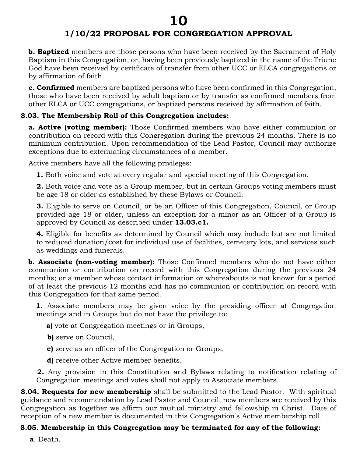# **1/10/22 PROPOSAL FOR CONGREGATION APPROVAL**

**b. Baptized** members are those persons who have been received by the Sacrament of Holy Baptism in this Congregation, or, having been previously baptized in the name of the Triune God have been received by certificate of transfer from other UCC or ELCA congregations or by affirmation of faith.

**c. Confirmed** members are baptized persons who have been confirmed in this Congregation, those who have been received by adult baptism or by transfer as confirmed members from other ELCA or UCC congregations, or baptized persons received by affirmation of faith.

## **8.03. The Membership Roll of this Congregation includes:**

**a. Active (voting member):** Those Confirmed members who have either communion or contribution on record with this Congregation during the previous 24 months. There is no minimum contribution. Upon recommendation of the Lead Pastor, Council may authorize exceptions due to extenuating circumstances of a member.

Active members have all the following privileges:

**1.** Both voice and vote at every regular and special meeting of this Congregation.

**2.** Both voice and vote as a Group member, but in certain Groups voting members must be age 18 or older as established by these Bylaws or Council.

**3.** Eligible to serve on Council, or be an Officer of this Congregation, Council, or Group provided age 18 or older, unless an exception for a minor as an Officer of a Group is approved by Council as described under **13.03.c1.**

**4.** Eligible for benefits as determined by Council which may include but are not limited to reduced donation/cost for individual use of facilities, cemetery lots, and services such as weddings and funerals.

**b. Associate (non-voting member):** Those Confirmed members who do not have either communion or contribution on record with this Congregation during the previous 24 months; or a member whose contact information or whereabouts is not known for a period of at least the previous 12 months and has no communion or contribution on record with this Congregation for that same period.

 **1.** Associate members may be given voice by the presiding officer at Congregation meetings and in Groups but do not have the privilege to:

**a**) vote at Congregation meetings or in Groups,

**b)** serve on Council,

**c)** serve as an officer of the Congregation or Groups,

**d)** receive other Active member benefits.

 **2.** Any provision in this Constitution and Bylaws relating to notification relating of Congregation meetings and votes shall not apply to Associate members.

**8.04. Requests for new membership** shall be submitted to the Lead Pastor. With spiritual guidance and recommendation by Lead Pastor and Council, new members are received by this Congregation as together we affirm our mutual ministry and fellowship in Christ. Date of reception of a new member is documented in this Congregation's Active membership roll.

## **8.05. Membership in this Congregation may be terminated for any of the following:**

 **a**. Death.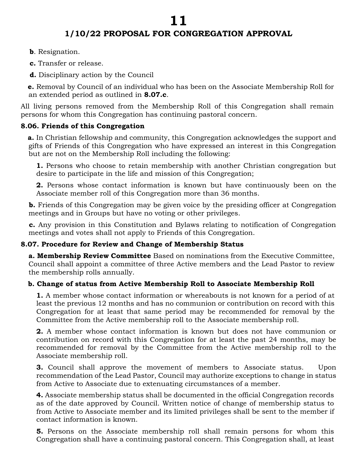- **b**. Resignation.
- **c.** Transfer or release.
- **d.** Disciplinary action by the Council

 **e.** Removal by Council of an individual who has been on the Associate Membership Roll for an extended period as outlined in **8.07.c**.

All living persons removed from the Membership Roll of this Congregation shall remain persons for whom this Congregation has continuing pastoral concern.

## **8.06. Friends of this Congregation**

 **a.** In Christian fellowship and community, this Congregation acknowledges the support and gifts of Friends of this Congregation who have expressed an interest in this Congregation but are not on the Membership Roll including the following:

 **1.** Persons who choose to retain membership with another Christian congregation but desire to participate in the life and mission of this Congregation;

 **2.** Persons whose contact information is known but have continuously been on the Associate member roll of this Congregation more than 36 months.

**b.** Friends of this Congregation may be given voice by the presiding officer at Congregation meetings and in Groups but have no voting or other privileges.

 **c.** Any provision in this Constitution and Bylaws relating to notification of Congregation meetings and votes shall not apply to Friends of this Congregation.

## **8.07. Procedure for Review and Change of Membership Status**

**a. Membership Review Committee** Based on nominations from the Executive Committee, Council shall appoint a committee of three Active members and the Lead Pastor to review the membership rolls annually.

## **b. Change of status from Active Membership Roll to Associate Membership Roll**

**1.** A member whose contact information or whereabouts is not known for a period of at least the previous 12 months and has no communion or contribution on record with this Congregation for at least that same period may be recommended for removal by the Committee from the Active membership roll to the Associate membership roll.

**2.** A member whose contact information is known but does not have communion or contribution on record with this Congregation for at least the past 24 months, may be recommended for removal by the Committee from the Active membership roll to the Associate membership roll.

**3.** Council shall approve the movement of members to Associate status. Upon recommendation of the Lead Pastor, Council may authorize exceptions to change in status from Active to Associate due to extenuating circumstances of a member.

**4.** Associate membership status shall be documented in the official Congregation records as of the date approved by Council. Written notice of change of membership status to from Active to Associate member and its limited privileges shall be sent to the member if contact information is known.

**5.** Persons on the Associate membership roll shall remain persons for whom this Congregation shall have a continuing pastoral concern. This Congregation shall, at least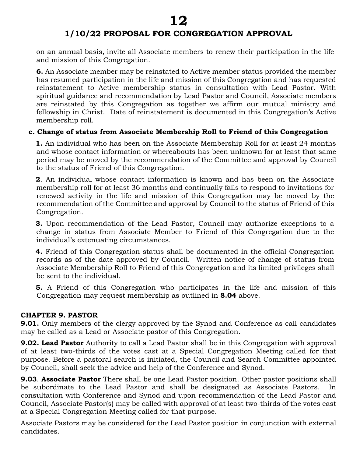on an annual basis, invite all Associate members to renew their participation in the life and mission of this Congregation.

**6.** An Associate member may be reinstated to Active member status provided the member has resumed participation in the life and mission of this Congregation and has requested reinstatement to Active membership status in consultation with Lead Pastor. With spiritual guidance and recommendation by Lead Pastor and Council, Associate members are reinstated by this Congregation as together we affirm our mutual ministry and fellowship in Christ. Date of reinstatement is documented in this Congregation's Active membership roll.

## **c. Change of status from Associate Membership Roll to Friend of this Congregation**

 **1.** An individual who has been on the Associate Membership Roll for at least 24 months and whose contact information or whereabouts has been unknown for at least that same period may be moved by the recommendation of the Committee and approval by Council to the status of Friend of this Congregation.

 **2**. An individual whose contact information is known and has been on the Associate membership roll for at least 36 months and continually fails to respond to invitations for renewed activity in the life and mission of this Congregation may be moved by the recommendation of the Committee and approval by Council to the status of Friend of this Congregation.

 **3.** Upon recommendation of the Lead Pastor, Council may authorize exceptions to a change in status from Associate Member to Friend of this Congregation due to the individual's extenuating circumstances.

 **4.** Friend of this Congregation status shall be documented in the official Congregation records as of the date approved by Council. Written notice of change of status from Associate Membership Roll to Friend of this Congregation and its limited privileges shall be sent to the individual.

 **5.** A Friend of this Congregation who participates in the life and mission of this Congregation may request membership as outlined in **8.04** above.

#### **CHAPTER 9. PASTOR**

**9.01.** Only members of the clergy approved by the Synod and Conference as call candidates may be called as a Lead or Associate pastor of this Congregation.

**9.02. Lead Pastor** Authority to call a Lead Pastor shall be in this Congregation with approval of at least two-thirds of the votes cast at a Special Congregation Meeting called for that purpose. Before a pastoral search is initiated, the Council and Search Committee appointed by Council, shall seek the advice and help of the Conference and Synod.

**9.03**. **Associate Pastor** There shall be one Lead Pastor position. Other pastor positions shall be subordinate to the Lead Pastor and shall be designated as Associate Pastors. consultation with Conference and Synod and upon recommendation of the Lead Pastor and Council, Associate Pastor(s) may be called with approval of at least two-thirds of the votes cast at a Special Congregation Meeting called for that purpose.

Associate Pastors may be considered for the Lead Pastor position in conjunction with external candidates.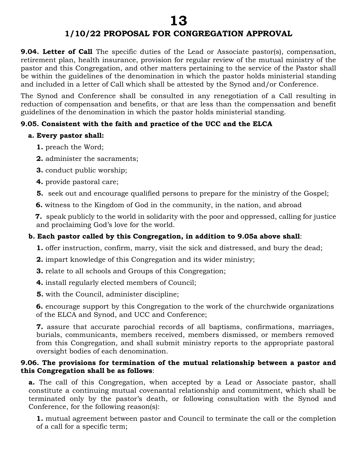**9.04. Letter of Call** The specific duties of the Lead or Associate pastor(s), compensation, retirement plan, health insurance, provision for regular review of the mutual ministry of the pastor and this Congregation, and other matters pertaining to the service of the Pastor shall be within the guidelines of the denomination in which the pastor holds ministerial standing and included in a letter of Call which shall be attested by the Synod and/or Conference.

The Synod and Conference shall be consulted in any renegotiation of a Call resulting in reduction of compensation and benefits, or that are less than the compensation and benefit guidelines of the denomination in which the pastor holds ministerial standing.

## **9.05. Consistent with the faith and practice of the UCC and the ELCA**

#### **a. Every pastor shall:**

- **1.** preach the Word;
- **2.** administer the sacraments;
- **3.** conduct public worship;
- **4.** provide pastoral care;
- **5.** seek out and encourage qualified persons to prepare for the ministry of the Gospel;
- **6.** witness to the Kingdom of God in the community, in the nation, and abroad

 **7.** speak publicly to the world in solidarity with the poor and oppressed, calling for justice and proclaiming God's love for the world.

## **b. Each pastor called by this Congregation, in addition to 9.05a above shall**:

- **1.** offer instruction, confirm, marry, visit the sick and distressed, and bury the dead;
- **2.** impart knowledge of this Congregation and its wider ministry;
- **3.** relate to all schools and Groups of this Congregation;
- **4.** install regularly elected members of Council;
- **5.** with the Council, administer discipline;

**6.** encourage support by this Congregation to the work of the churchwide organizations of the ELCA and Synod, and UCC and Conference;

**7.** assure that accurate parochial records of all baptisms, confirmations, marriages, burials, communicants, members received, members dismissed, or members removed from this Congregation, and shall submit ministry reports to the appropriate pastoral oversight bodies of each denomination.

#### **9.06. The provisions for termination of the mutual relationship between a pastor and this Congregation shall be as follows**:

**a.** The call of this Congregation, when accepted by a Lead or Associate pastor, shall constitute a continuing mutual covenantal relationship and commitment, which shall be terminated only by the pastor's death, or following consultation with the Synod and Conference, for the following reason(s):

**1.** mutual agreement between pastor and Council to terminate the call or the completion of a call for a specific term;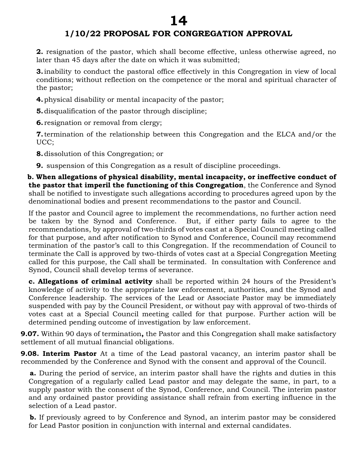**2.** resignation of the pastor, which shall become effective, unless otherwise agreed, no later than 45 days after the date on which it was submitted;

**3.** inability to conduct the pastoral office effectively in this Congregation in view of local conditions; without reflection on the competence or the moral and spiritual character of the pastor;

**4.**physical disability or mental incapacity of the pastor;

**5.**disqualification of the pastor through discipline;

**6.** resignation or removal from clergy;

**7.**termination of the relationship between this Congregation and the ELCA and/or the UCC;

**8.**dissolution of this Congregation; or

**9.** suspension of this Congregation as a result of discipline proceedings.

 **b. When allegations of physical disability, mental incapacity, or ineffective conduct of the pastor that imperil the functioning of this Congregation**, the Conference and Synod shall be notified to investigate such allegations according to procedures agreed upon by the denominational bodies and present recommendations to the pastor and Council.

If the pastor and Council agree to implement the recommendations, no further action need be taken by the Synod and Conference. But, if either party fails to agree to the recommendations, by approval of two-thirds of votes cast at a Special Council meeting called for that purpose, and after notification to Synod and Conference, Council may recommend termination of the pastor's call to this Congregation. If the recommendation of Council to terminate the Call is approved by two-thirds of votes cast at a Special Congregation Meeting called for this purpose, the Call shall be terminated. In consultation with Conference and Synod, Council shall develop terms of severance.

**c. Allegations of criminal activity** shall be reported within 24 hours of the President's knowledge of activity to the appropriate law enforcement, authorities, and the Synod and Conference leadership. The services of the Lead or Associate Pastor may be immediately suspended with pay by the Council President, or without pay with approval of two-thirds of votes cast at a Special Council meeting called for that purpose. Further action will be determined pending outcome of investigation by law enforcement.

**9.07.** Within 90 days of termination**,** the Pastor and this Congregation shall make satisfactory settlement of all mutual financial obligations.

**9.08. Interim Pastor** At a time of the Lead pastoral vacancy, an interim pastor shall be recommended by the Conference and Synod with the consent and approval of the Council.

 **a.** During the period of service, an interim pastor shall have the rights and duties in this Congregation of a regularly called Lead pastor and may delegate the same, in part, to a supply pastor with the consent of the Synod, Conference, and Council. The interim pastor and any ordained pastor providing assistance shall refrain from exerting influence in the selection of a Lead pastor.

**b.** If previously agreed to by Conference and Synod, an interim pastor may be considered for Lead Pastor position in conjunction with internal and external candidates.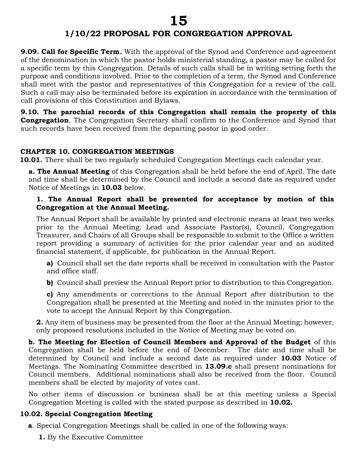**9.09. Call for Specific Term.** With the approval of the Synod and Conference and agreement of the denomination in which the pastor holds ministerial standing, a pastor may be called for a specific term by this Congregation. Details of such calls shall be in writing setting forth the purpose and conditions involved. Prior to the completion of a term, the Synod and Conference shall meet with the pastor and representatives of this Congregation for a review of the call. Such a call may also be terminated before its expiration in accordance with the termination of call provisions of this Constitution and Bylaws.

**9.10. The parochial records of this Congregation shall remain the property of this Congregation**. The Congregation Secretary shall confirm to the Conference and Synod that such records have been received from the departing pastor in good order.

#### **CHAPTER 10. CONGREGATION MEETINGS**

**10.01.** There shall be two regularly scheduled Congregation Meetings each calendar year.

**a. The Annual Meeting** of this Congregation shall be held before the end of April. The date and time shall be determined by the Council and include a second date as required under Notice of Meetings in **10.03** below.

#### **1. The Annual Report shall be presented for acceptance by motion of this Congregation at the Annual Meeting.**

The Annual Report shall be available by printed and electronic means at least two weeks prior to the Annual Meeting. Lead and Associate Pastor(s), Council, Congregation Treasurer, and Chairs of all Groups shall be responsible to submit to the Office a written report providing a summary of activities for the prior calendar year and an audited financial statement, if applicable, for publication in the Annual Report.

**a)** Council shall set the date reports shall be received in consultation with the Pastor and office staff.

**b)** Council shall preview the Annual Report prior to distribution to this Congregation.

**c)** Any amendments or corrections to the Annual Report after distribution to the Congregation shall be presented at the Meeting and noted in the minutes prior to the vote to accept the Annual Report by this Congregation.

**2.** Any item of business may be presented from the floor at the Annual Meeting; however, only proposed resolutions included in the Notice of Meeting may be voted on.

**b. The Meeting for Election of Council Members and Approval of the Budget** of this Congregation shall be held before the end of December. The date and time shall be determined by Council and include a second date as required under **10.03** Notice of Meetings. The Nominating Committee described in **13.09.c** shall present nominations for Council members. Additional nominations shall also be received from the floor. Council members shall be elected by majority of votes cast.

No other items of discussion or business shall be at this meeting unless a Special Congregation Meeting is called with the stated purpose as described in **10.02.**

#### **10.02. Special Congregation Meeting**

**a**. Special Congregation Meetings shall be called in one of the following ways:

 **1.** By the Executive Committee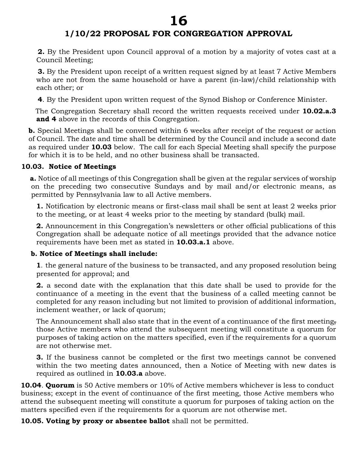# **1/10/22 PROPOSAL FOR CONGREGATION APPROVAL**

 **2.** By the President upon Council approval of a motion by a majority of votes cast at a Council Meeting;

 **3.** By the President upon receipt of a written request signed by at least 7 Active Members who are not from the same household or have a parent (in-law)/child relationship with each other; or

**4**. By the President upon written request of the Synod Bishop or Conference Minister.

 The Congregation Secretary shall record the written requests received under **10.02.a.3 and 4** above in the records of this Congregation.

**b.** Special Meetings shall be convened within 6 weeks after receipt of the request or action of Council. The date and time shall be determined by the Council and include a second date as required under **10.03** below. The call for each Special Meeting shall specify the purpose for which it is to be held, and no other business shall be transacted.

#### **10.03. Notice of Meetings**

 **a.** Notice of all meetings of this Congregation shall be given at the regular services of worship on the preceding two consecutive Sundays and by mail and/or electronic means, as permitted by Pennsylvania law to all Active members.

**1.** Notification by electronic means or first-class mail shall be sent at least 2 weeks prior to the meeting, or at least 4 weeks prior to the meeting by standard (bulk) mail.

**2.** Announcement in this Congregation's newsletters or other official publications of this Congregation shall be adequate notice of all meetings provided that the advance notice requirements have been met as stated in **10.03.a.1** above.

#### **b. Notice of Meetings shall include:**

**1**. the general nature of the business to be transacted, and any proposed resolution being presented for approval; and

**2.** a second date with the explanation that this date shall be used to provide for the continuance of a meeting in the event that the business of a called meeting cannot be completed for any reason including but not limited to provision of additional information, inclement weather, or lack of quorum;

The Announcement shall also state that in the event of a continuance of the first meeting, those Active members who attend the subsequent meeting will constitute a quorum for purposes of taking action on the matters specified, even if the requirements for a quorum are not otherwise met.

**3.** If the business cannot be completed or the first two meetings cannot be convened within the two meeting dates announced, then a Notice of Meeting with new dates is required as outlined in **10.03.a** above.

**10.04**. **Quorum** is 50 Active members or 10% of Active members whichever is less to conduct business; except in the event of continuance of the first meeting, those Active members who attend the subsequent meeting will constitute a quorum for purposes of taking action on the matters specified even if the requirements for a quorum are not otherwise met.

**10.05. Voting by proxy or absentee ballot** shall not be permitted.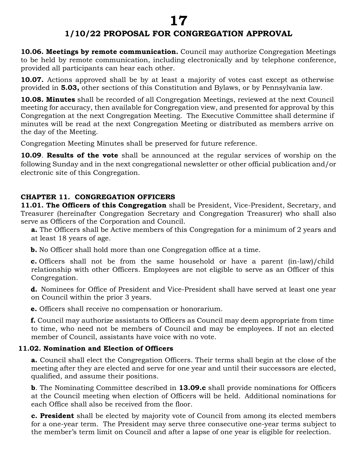# **1/10/22 PROPOSAL FOR CONGREGATION APPROVAL**

**10.06. Meetings by remote communication.** Council may authorize Congregation Meetings to be held by remote communication, including electronically and by telephone conference, provided all participants can hear each other.

**10.07.** Actions approved shall be by at least a majority of votes cast except as otherwise provided in **5.03,** other sections of this Constitution and Bylaws, or by Pennsylvania law.

**10.08. Minutes** shall be recorded of all Congregation Meetings, reviewed at the next Council meeting for accuracy, then available for Congregation view, and presented for approval by this Congregation at the next Congregation Meeting. The Executive Committee shall determine if minutes will be read at the next Congregation Meeting or distributed as members arrive on the day of the Meeting.

Congregation Meeting Minutes shall be preserved for future reference.

**10.09**. **Results of the vote** shall be announced at the regular services of worship on the following Sunday and in the next congregational newsletter or other official publication and/or electronic site of this Congregation.

## **CHAPTER 11. CONGREGATION OFFICERS**

**11.01. The Officers of this Congregation** shall be President, Vice-President, Secretary, and Treasurer (hereinafter Congregation Secretary and Congregation Treasurer) who shall also serve as Officers of the Corporation and Council.

**a.** The Officers shall be Active members of this Congregation for a minimum of 2 years and at least 18 years of age.

**b.** No Officer shall hold more than one Congregation office at a time.

**c.** Officers shall not be from the same household or have a parent (in-law)/child relationship with other Officers. Employees are not eligible to serve as an Officer of this Congregation.

**d.** Nominees for Office of President and Vice-President shall have served at least one year on Council within the prior 3 years.

**e.** Officers shall receive no compensation or honorarium.

**f.** Council may authorize assistants to Officers as Council may deem appropriate from time to time, who need not be members of Council and may be employees. If not an elected member of Council, assistants have voice with no vote.

## **11.02. Nomination and Election of Officers**

**a.** Council shall elect the Congregation Officers. Their terms shall begin at the close of the meeting after they are elected and serve for one year and until their successors are elected, qualified, and assume their positions.

**b**. The Nominating Committee described in **13.09.c** shall provide nominations for Officers at the Council meeting when election of Officers will be held. Additional nominations for each Office shall also be received from the floor.

**c. President** shall be elected by majority vote of Council from among its elected members for a one-year term. The President may serve three consecutive one-year terms subject to the member's term limit on Council and after a lapse of one year is eligible for reelection.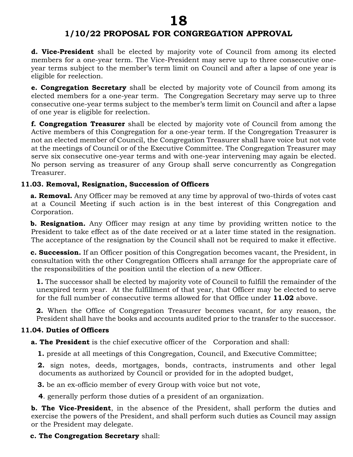**d. Vice-President** shall be elected by majority vote of Council from among its elected members for a one-year term. The Vice-President may serve up to three consecutive oneyear terms subject to the member's term limit on Council and after a lapse of one year is eligible for reelection.

**e. Congregation Secretary** shall be elected by majority vote of Council from among its elected members for a one-year term. The Congregation Secretary may serve up to three consecutive one-year terms subject to the member's term limit on Council and after a lapse of one year is eligible for reelection.

**f. Congregation Treasurer** shall be elected by majority vote of Council from among the Active members of this Congregation for a one-year term. If the Congregation Treasurer is not an elected member of Council, the Congregation Treasurer shall have voice but not vote at the meetings of Council or of the Executive Committee. The Congregation Treasurer may serve six consecutive one-year terms and with one-year intervening may again be elected. No person serving as treasurer of any Group shall serve concurrently as Congregation Treasurer.

#### **11.03. Removal, Resignation, Succession of Officers**

 **a. Removal.** Any Officer may be removed at any time by approval of two-thirds of votes cast at a Council Meeting if such action is in the best interest of this Congregation and Corporation.

 **b. Resignation.** Any Officer may resign at any time by providing written notice to the President to take effect as of the date received or at a later time stated in the resignation. The acceptance of the resignation by the Council shall not be required to make it effective.

 **c. Succession.** If an Officer position of this Congregation becomes vacant, the President, in consultation with the other Congregation Officers shall arrange for the appropriate care of the responsibilities of the position until the election of a new Officer.

**1.** The successor shall be elected by majority vote of Council to fulfill the remainder of the unexpired term year. At the fulfillment of that year, that Officer may be elected to serve for the full number of consecutive terms allowed for that Office under **11.02** above.

**2.** When the Office of Congregation Treasurer becomes vacant, for any reason, the President shall have the books and accounts audited prior to the transfer to the successor.

#### **11.04. Duties of Officers**

**a. The President** is the chief executive officer of the Corporation and shall:

**1.** preside at all meetings of this Congregation, Council, and Executive Committee;

 **2.** sign notes, deeds, mortgages, bonds, contracts, instruments and other legal documents as authorized by Council or provided for in the adopted budget,

 **3.** be an ex-officio member of every Group with voice but not vote,

**4**. generally perform those duties of a president of an organization.

**b. The Vice-President**, in the absence of the President, shall perform the duties and exercise the powers of the President, and shall perform such duties as Council may assign or the President may delegate.

 **c. The Congregation Secretary** shall: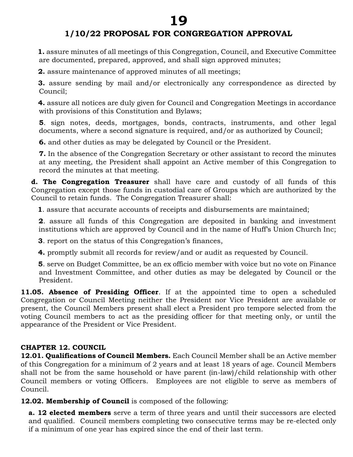**1.** assure minutes of all meetings of this Congregation, Council, and Executive Committee are documented, prepared, approved, and shall sign approved minutes;

 **2.** assure maintenance of approved minutes of all meetings;

 **3.** assure sending by mail and/or electronically any correspondence as directed by Council;

 **4.** assure all notices are duly given for Council and Congregation Meetings in accordance with provisions of this Constitution and Bylaws;

**5**. sign notes, deeds, mortgages, bonds, contracts, instruments, and other legal documents, where a second signature is required, and/or as authorized by Council;

**6.** and other duties as may be delegated by Council or the President.

**7.** In the absence of the Congregation Secretary or other assistant to record the minutes at any meeting, the President shall appoint an Active member of this Congregation to record the minutes at that meeting.

**d. The Congregation Treasurer** shall have care and custody of all funds of this Congregation except those funds in custodial care of Groups which are authorized by the Council to retain funds. The Congregation Treasurer shall:

**1**. assure that accurate accounts of receipts and disbursements are maintained;

**2**. assure all funds of this Congregation are deposited in banking and investment institutions which are approved by Council and in the name of Huff's Union Church Inc;

 **3**. report on the status of this Congregation's finances,

 **4.** promptly submit all records for review/and or audit as requested by Council.

 **5**. serve on Budget Committee, be an ex officio member with voice but no vote on Finance and Investment Committee, and other duties as may be delegated by Council or the President.

**11.05. Absence of Presiding Officer**. If at the appointed time to open a scheduled Congregation or Council Meeting neither the President nor Vice President are available or present, the Council Members present shall elect a President pro tempore selected from the voting Council members to act as the presiding officer for that meeting only, or until the appearance of the President or Vice President.

## **CHAPTER 12. COUNCIL**

**12.01. Qualifications of Council Members.** Each Council Member shall be an Active member of this Congregation for a minimum of 2 years and at least 18 years of age. Council Members shall not be from the same household or have parent (in-law)/child relationship with other Council members or voting Officers. Employees are not eligible to serve as members of Council.

**12.02. Membership of Council** is composed of the following:

**a. 12 elected members** serve a term of three years and until their successors are elected and qualified. Council members completing two consecutive terms may be re-elected only if a minimum of one year has expired since the end of their last term.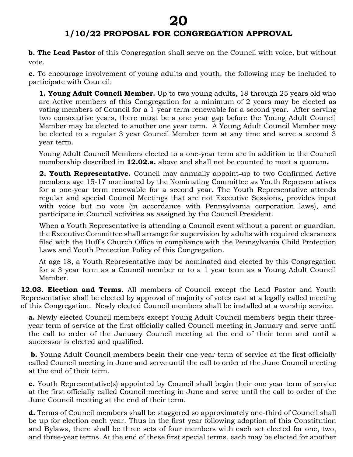# **1/10/22 PROPOSAL FOR CONGREGATION APPROVAL**

**b. The Lead Pastor** of this Congregation shall serve on the Council with voice, but without vote.

**c.** To encourage involvement of young adults and youth, the following may be included to participate with Council:

**1. Young Adult Council Member.** Up to two young adults, 18 through 25 years old who are Active members of this Congregation for a minimum of 2 years may be elected as voting members of Council for a 1-year term renewable for a second year. After serving two consecutive years, there must be a one year gap before the Young Adult Council Member may be elected to another one year term. A Young Adult Council Member may be elected to a regular 3 year Council Member term at any time and serve a second 3 year term.

Young Adult Council Members elected to a one-year term are in addition to the Council membership described in **12.02.a.** above and shall not be counted to meet a quorum*.* 

**2. Youth Representative.** Council may annually appoint-up to two Confirmed Active members age 15-17 nominated by the Nominating Committee as Youth Representatives for a one-year term renewable for a second year. The Youth Representative attends regular and special Council Meetings that are not Executive Sessions*,* provides input with voice but no vote (in accordance with Pennsylvania corporation laws), and participate in Council activities as assigned by the Council President.

When a Youth Representative is attending a Council event without a parent or guardian, the Executive Committee shall arrange for supervision by adults with required clearances filed with the Huff's Church Office in compliance with the Pennsylvania Child Protection Laws and Youth Protection Policy of this Congregation.

At age 18, a Youth Representative may be nominated and elected by this Congregation for a 3 year term as a Council member or to a 1 year term as a Young Adult Council Member.

**12.03. Election and Terms.** All members of Council except the Lead Pastor and Youth Representative shall be elected by approval of majority of votes cast at a legally called meeting of this Congregation. Newly elected Council members shall be installed at a worship service.

**a.** Newly elected Council members except Young Adult Council members begin their threeyear term of service at the first officially called Council meeting in January and serve until the call to order of the January Council meeting at the end of their term and until a successor is elected and qualified.

**b.** Young Adult Council members begin their one-year term of service at the first officially called Council meeting in June and serve until the call to order of the June Council meeting at the end of their term.

**c.** Youth Representative(s) appointed by Council shall begin their one year term of service at the first officially called Council meeting in June and serve until the call to order of the June Council meeting at the end of their term.

**d.** Terms of Council members shall be staggered so approximately one-third of Council shall be up for election each year. Thus in the first year following adoption of this Constitution and Bylaws, there shall be three sets of four members with each set elected for one, two, and three-year terms. At the end of these first special terms, each may be elected for another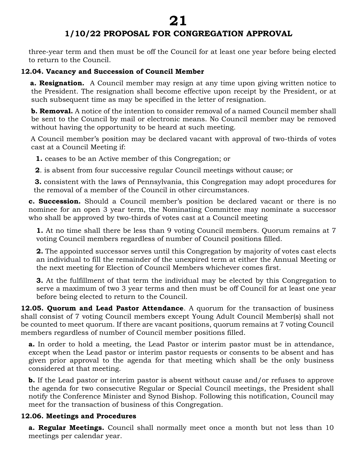# **1/10/22 PROPOSAL FOR CONGREGATION APPROVAL**

three-year term and then must be off the Council for at least one year before being elected to return to the Council.

#### **12.04. Vacancy and Succession of Council Member**

 **a. Resignation.** A Council member may resign at any time upon giving written notice to the President. The resignation shall become effective upon receipt by the President, or at such subsequent time as may be specified in the letter of resignation.

**b. Removal.** A notice of the intention to consider removal of a named Council member shall be sent to the Council by mail or electronic means. No Council member may be removed without having the opportunity to be heard at such meeting.

A Council member's position may be declared vacant with approval of two-thirds of votes cast at a Council Meeting if:

**1.** ceases to be an Active member of this Congregation; or

**2**. is absent from four successive regular Council meetings without cause; or

 **3.** consistent with the laws of Pennsylvania, this Congregation may adopt procedures for the removal of a member of the Council in other circumstances.

**c. Succession.** Should a Council member's position be declared vacant or there is no nominee for an open 3 year term, the Nominating Committee may nominate a successor who shall be approved by two-thirds of votes cast at a Council meeting

**1.** At no time shall there be less than 9 voting Council members. Quorum remains at 7 voting Council members regardless of number of Council positions filled.

**2.** The appointed successor serves until this Congregation by majority of votes cast elects an individual to fill the remainder of the unexpired term at either the Annual Meeting or the next meeting for Election of Council Members whichever comes first.

**3.** At the fulfillment of that term the individual may be elected by this Congregation to serve a maximum of two 3 year terms and then must be off Council for at least one year before being elected to return to the Council.

**12.05. Quorum and Lead Pastor Attendance**. A quorum for the transaction of business shall consist of 7 voting Council members except Young Adult Council Member(s) shall not be counted to meet quorum. If there are vacant positions, quorum remains at 7 voting Council members regardless of number of Council member positions filled.

**a.** In order to hold a meeting, the Lead Pastor or interim pastor must be in attendance, except when the Lead pastor or interim pastor requests or consents to be absent and has given prior approval to the agenda for that meeting which shall be the only business considered at that meeting.

**b.** If the Lead pastor or interim pastor is absent without cause and/or refuses to approve the agenda for two consecutive Regular or Special Council meetings, the President shall notify the Conference Minister and Synod Bishop. Following this notification, Council may meet for the transaction of business of this Congregation.

## **12.06. Meetings and Procedures**

**a. Regular Meetings.** Council shall normally meet once a month but not less than 10 meetings per calendar year.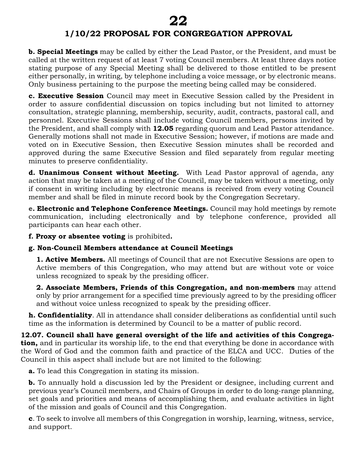**b. Special Meetings** may be called by either the Lead Pastor, or the President, and must be called at the written request of at least 7 voting Council members. At least three days notice stating purpose of any Special Meeting shall be delivered to those entitled to be present either personally, in writing, by telephone including a voice message, or by electronic means. Only business pertaining to the purpose the meeting being called may be considered.

**c. Executive Session** Council may meet in Executive Session called by the President in order to assure confidential discussion on topics including but not limited to attorney consultation, strategic planning, membership, security, audit, contracts, pastoral call, and personnel. Executive Sessions shall include voting Council members, persons invited by the President, and shall comply with **12.05** regarding quorum and Lead Pastor attendance. Generally motions shall not made in Executive Session; however, if motions are made and voted on in Executive Session, then Executive Session minutes shall be recorded and approved during the same Executive Session and filed separately from regular meeting minutes to preserve confidentiality.

**d. Unanimous Consent without Meeting.** With Lead Pastor approval of agenda, any action that may be taken at a meeting of the Council, may be taken without a meeting, only if consent in writing including by electronic means is received from every voting Council member and shall be filed in minute record book by the Congregation Secretary.

**e. Electronic and Telephone Conference Meetings.** Council may hold meetings by remote communication, including electronically and by telephone conference, provided all participants can hear each other.

**f. Proxy or absentee voting** is prohibited**.** 

## **g. Non-Council Members attendance at Council Meetings**

**1. Active Members.** All meetings of Council that are not Executive Sessions are open to Active members of this Congregation, who may attend but are without vote or voice unless recognized to speak by the presiding officer.

**2. Associate Members, Friends of this Congregation, and non-members** may attend only by prior arrangement for a specified time previously agreed to by the presiding officer and without voice unless recognized to speak by the presiding officer.

**h. Confidentiality**. All in attendance shall consider deliberations as confidential until such time as the information is determined by Council to be a matter of public record.

**12.07. Council shall have general oversight of the life and activities of this Congregation,** and in particular its worship life, to the end that everything be done in accordance with the Word of God and the common faith and practice of the ELCA and UCC. Duties of the Council in this aspect shall include but are not limited to the following:

**a.** To lead this Congregation in stating its mission.

**b.** To annually hold a discussion led by the President or designee, including current and previous year's Council members, and Chairs of Groups in order to do long-range planning, set goals and priorities and means of accomplishing them, and evaluate activities in light of the mission and goals of Council and this Congregation.

**c**. To seek to involve all members of this Congregation in worship, learning, witness, service, and support.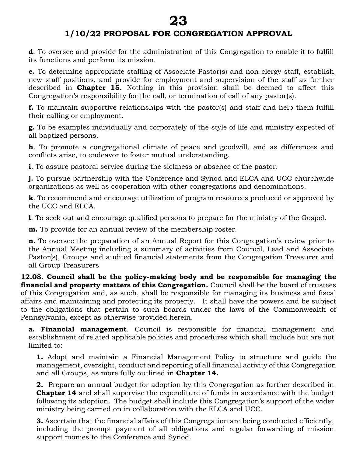**d**. To oversee and provide for the administration of this Congregation to enable it to fulfill its functions and perform its mission.

**e.** To determine appropriate staffing of Associate Pastor(s) and non-clergy staff, establish new staff positions, and provide for employment and supervision of the staff as further described in **Chapter 15.** Nothing in this provision shall be deemed to affect this Congregation's responsibility for the call, or termination of call of any pastor(s).

**f.** To maintain supportive relationships with the pastor(s) and staff and help them fulfill their calling or employment.

**g.** To be examples individually and corporately of the style of life and ministry expected of all baptized persons.

**h**. To promote a congregational climate of peace and goodwill, and as differences and conflicts arise, to endeavor to foster mutual understanding.

**i**. To assure pastoral service during the sickness or absence of the pastor.

**j.** To pursue partnership with the Conference and Synod and ELCA and UCC churchwide organizations as well as cooperation with other congregations and denominations.

**k**. To recommend and encourage utilization of program resources produced or approved by the UCC and ELCA.

**l**. To seek out and encourage qualified persons to prepare for the ministry of the Gospel.

**m.** To provide for an annual review of the membership roster.

**n.** To oversee the preparation of an Annual Report for this Congregation's review prior to the Annual Meeting including a summary of activities from Council, Lead and Associate Pastor(s), Groups and audited financial statements from the Congregation Treasurer and all Group Treasurers

**12.08. Council shall be the policy-making body and be responsible for managing the financial and property matters of this Congregation.** Council shall be the board of trustees of this Congregation and, as such, shall be responsible for managing its business and fiscal affairs and maintaining and protecting its property. It shall have the powers and be subject to the obligations that pertain to such boards under the laws of the Commonwealth of Pennsylvania, except as otherwise provided herein.

**a. Financial management**. Council is responsible for financial management and establishment of related applicable policies and procedures which shall include but are not limited to:

**1.** Adopt and maintain a Financial Management Policy to structure and guide the management, oversight, conduct and reporting of all financial activity of this Congregation and all Groups, as more fully outlined in **Chapter 14.** 

**2.** Prepare an annual budget for adoption by this Congregation as further described in **Chapter 14** and shall supervise the expenditure of funds in accordance with the budget following its adoption. The budget shall include this Congregation's support of the wider ministry being carried on in collaboration with the ELCA and UCC.

**3.** Ascertain that the financial affairs of this Congregation are being conducted efficiently, including the prompt payment of all obligations and regular forwarding of mission support monies to the Conference and Synod.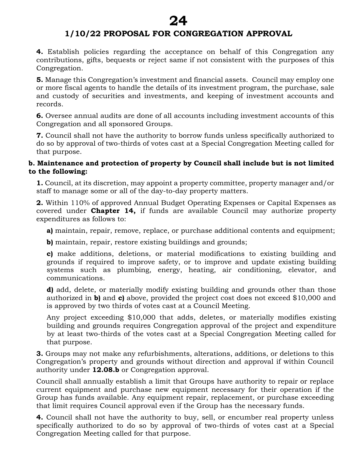**4.** Establish policies regarding the acceptance on behalf of this Congregation any contributions, gifts, bequests or reject same if not consistent with the purposes of this Congregation.

**5.** Manage this Congregation's investment and financial assets. Council may employ one or more fiscal agents to handle the details of its investment program, the purchase, sale and custody of securities and investments, and keeping of investment accounts and records.

**6.** Oversee annual audits are done of all accounts including investment accounts of this Congregation and all sponsored Groups.

**7.** Council shall not have the authority to borrow funds unless specifically authorized to do so by approval of two-thirds of votes cast at a Special Congregation Meeting called for that purpose.

#### **b. Maintenance and protection of property by Council shall include but is not limited to the following:**

**1.** Council, at its discretion, may appoint a property committee, property manager and/or staff to manage some or all of the day-to-day property matters.

**2.** Within 110% of approved Annual Budget Operating Expenses or Capital Expenses as covered under **Chapter 14,** if funds are available Council may authorize property expenditures as follows to:

**a)** maintain, repair, remove, replace, or purchase additional contents and equipment;

**b**) maintain, repair, restore existing buildings and grounds;

**c)** make additions, deletions, or material modifications to existing building and grounds if required to improve safety, or to improve and update existing building systems such as plumbing, energy, heating, air conditioning, elevator, and communications.

**d)** add, delete, or materially modify existing building and grounds other than those authorized in **b)** and **c)** above, provided the project cost does not exceed \$10,000 and is approved by two thirds of votes cast at a Council Meeting.

Any project exceeding \$10,000 that adds, deletes, or materially modifies existing building and grounds requires Congregation approval of the project and expenditure by at least two-thirds of the votes cast at a Special Congregation Meeting called for that purpose.

**3.** Groups may not make any refurbishments, alterations, additions, or deletions to this Congregation's property and grounds without direction and approval if within Council authority under **12.08.b** or Congregation approval.

Council shall annually establish a limit that Groups have authority to repair or replace current equipment and purchase new equipment necessary for their operation if the Group has funds available. Any equipment repair, replacement, or purchase exceeding that limit requires Council approval even if the Group has the necessary funds.

**4.** Council shall not have the authority to buy, sell, or encumber real property unless specifically authorized to do so by approval of two-thirds of votes cast at a Special Congregation Meeting called for that purpose.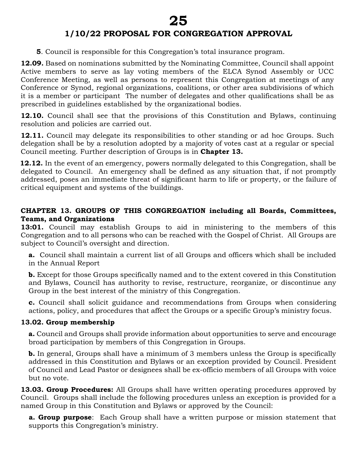**5**. Council is responsible for this Congregation's total insurance program.

**12.09.** Based on nominations submitted by the Nominating Committee, Council shall appoint Active members to serve as lay voting members of the ELCA Synod Assembly or UCC Conference Meeting, as well as persons to represent this Congregation at meetings of any Conference or Synod, regional organizations, coalitions, or other area subdivisions of which it is a member or participant The number of delegates and other qualifications shall be as prescribed in guidelines established by the organizational bodies.

**12.10.** Council shall see that the provisions of this Constitution and Bylaws, continuing resolution and policies are carried out.

**12.11.** Council may delegate its responsibilities to other standing or ad hoc Groups. Such delegation shall be by a resolution adopted by a majority of votes cast at a regular or special Council meeting. Further description of Groups is in **Chapter 13.** 

 **12.12.** In the event of an emergency, powers normally delegated to this Congregation, shall be delegated to Council. An emergency shall be defined as any situation that, if not promptly addressed, poses an immediate threat of significant harm to life or property, or the failure of critical equipment and systems of the buildings.

#### **CHAPTER 13. GROUPS OF THIS CONGREGATION including all Boards, Committees, Teams, and Organizations**

**13:01.** Council may establish Groups to aid in ministering to the members of this Congregation and to all persons who can be reached with the Gospel of Christ. All Groups are subject to Council's oversight and direction.

**a.** Council shall maintain a current list of all Groups and officers which shall be included in the Annual Report

**b.** Except for those Groups specifically named and to the extent covered in this Constitution and Bylaws, Council has authority to revise, restructure, reorganize, or discontinue any Group in the best interest of the ministry of this Congregation.

**c.** Council shall solicit guidance and recommendations from Groups when considering actions, policy, and procedures that affect the Groups or a specific Group's ministry focus.

## **13.02. Group membership**

**a.** Council and Groups shall provide information about opportunities to serve and encourage broad participation by members of this Congregation in Groups.

**b.** In general, Groups shall have a minimum of 3 members unless the Group is specifically addressed in this Constitution and Bylaws or an exception provided by Council*.* President of Council and Lead Pastor or designees shall be ex-officio members of all Groups with voice but no vote.

**13.03. Group Procedures:** All Groups shall have written operating procedures approved by Council. Groups shall include the following procedures unless an exception is provided for a named Group in this Constitution and Bylaws or approved by the Council:

**a. Group purpose**: Each Group shall have a written purpose or mission statement that supports this Congregation's ministry.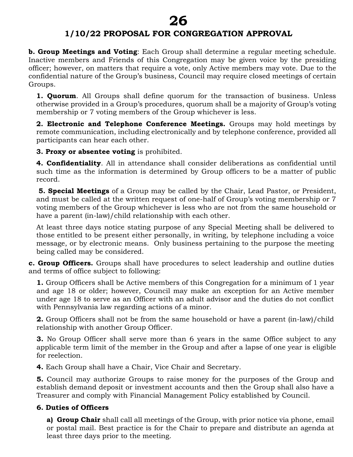**b. Group Meetings and Voting**: Each Group shall determine a regular meeting schedule. Inactive members and Friends of this Congregation may be given voice by the presiding officer; however, on matters that require a vote, only Active members may vote. Due to the confidential nature of the Group's business, Council may require closed meetings of certain Groups.

**1. Quorum**. All Groups shall define quorum for the transaction of business. Unless otherwise provided in a Group's procedures, quorum shall be a majority of Group's voting membership or 7 voting members of the Group whichever is less.

**2. Electronic and Telephone Conference Meetings.** Groups may hold meetings by remote communication, including electronically and by telephone conference, provided all participants can hear each other.

**3. Proxy or absentee voting** is prohibited.

**4. Confidentiality**. All in attendance shall consider deliberations as confidential until such time as the information is determined by Group officers to be a matter of public record.

**5. Special Meetings** of a Group may be called by the Chair, Lead Pastor, or President, and must be called at the written request of one-half of Group's voting membership or 7 voting members of the Group whichever is less who are not from the same household or have a parent (in-law)/child relationship with each other.

At least three days notice stating purpose of any Special Meeting shall be delivered to those entitled to be present either personally, in writing, by telephone including a voice message, or by electronic means. Only business pertaining to the purpose the meeting being called may be considered.

**c. Group Officers.** Groups shall have procedures to select leadership and outline duties and terms of office subject to following:

**1.** Group Officers shall be Active members of this Congregation for a minimum of 1 year and age 18 or older; however, Council may make an exception for an Active member under age 18 to serve as an Officer with an adult advisor and the duties do not conflict with Pennsylvania law regarding actions of a minor.

**2.** Group Officers shall not be from the same household or have a parent (in-law)/child relationship with another Group Officer.

**3.** No Group Officer shall serve more than 6 years in the same Office subject to any applicable term limit of the member in the Group and after a lapse of one year is eligible for reelection.

**4.** Each Group shall have a Chair, Vice Chair and Secretary.

**5.** Council may authorize Groups to raise money for the purposes of the Group and establish demand deposit or investment accounts and then the Group shall also have a Treasurer and comply with Financial Management Policy established by Council.

## **6. Duties of Officers**

**a) Group Chair** shall call all meetings of the Group, with prior notice via phone, email or postal mail. Best practice is for the Chair to prepare and distribute an agenda at least three days prior to the meeting.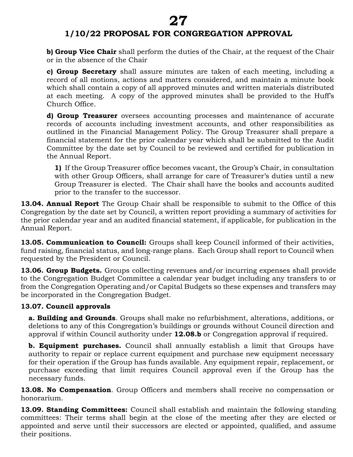**b) Group Vice Chair** shall perform the duties of the Chair, at the request of the Chair or in the absence of the Chair

**c) Group Secretary** shall assure minutes are taken of each meeting, including a record of all motions, actions and matters considered, and maintain a minute book which shall contain a copy of all approved minutes and written materials distributed at each meeting. A copy of the approved minutes shall be provided to the Huff's Church Office.

**d) Group Treasurer** oversees accounting processes and maintenance of accurate records of accounts including investment accounts, and other responsibilities as outlined in the Financial Management Policy. The Group Treasurer shall prepare a financial statement for the prior calendar year which shall be submitted to the Audit Committee by the date set by Council to be reviewed and certified for publication in the Annual Report.

**1)** If the Group Treasurer office becomes vacant, the Group's Chair, in consultation with other Group Officers, shall arrange for care of Treasurer's duties until a new Group Treasurer is elected. The Chair shall have the books and accounts audited prior to the transfer to the successor.

**13.04. Annual Report** The Group Chair shall be responsible to submit to the Office of this Congregation by the date set by Council, a written report providing a summary of activities for the prior calendar year and an audited financial statement, if applicable, for publication in the Annual Report.

**13.05. Communication to Council:** Groups shall keep Council informed of their activities, fund raising, financial status, and long-range plans. Each Group shall report to Council when requested by the President or Council.

**13.06. Group Budgets.** Groups collecting revenues and/or incurring expenses shall provide to the Congregation Budget Committee a calendar year budget including any transfers to or from the Congregation Operating and/or Capital Budgets so these expenses and transfers may be incorporated in the Congregation Budget.

#### **13.07. Council approvals**

**a. Building and Grounds**. Groups shall make no refurbishment, alterations, additions, or deletions to any of this Congregation's buildings or grounds without Council direction and approval if within Council authority under **12.08.b** or Congregation approval if required.

**b. Equipment purchases.** Council shall annually establish a limit that Groups have authority to repair or replace current equipment and purchase new equipment necessary for their operation if the Group has funds available. Any equipment repair, replacement, or purchase exceeding that limit requires Council approval even if the Group has the necessary funds.

**13.08. No Compensation**. Group Officers and members shall receive no compensation or honorarium.

**13.09. Standing Committees:** Council shall establish and maintain the following standing committees: Their terms shall begin at the close of the meeting after they are elected or appointed and serve until their successors are elected or appointed, qualified, and assume their positions.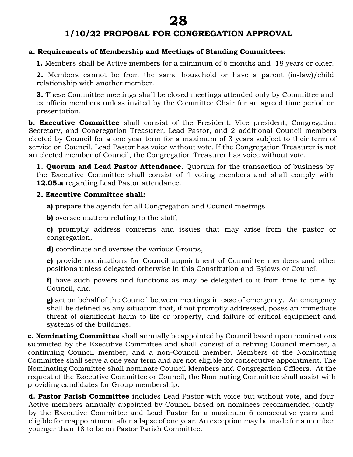## **1/10/22 PROPOSAL FOR CONGREGATION APPROVAL**

#### **a. Requirements of Membership and Meetings of Standing Committees:**

 **1.** Members shall be Active members for a minimum of 6 months and 18 years or older.

**2.** Members cannot be from the same household or have a parent (in-law)/child relationship with another member.

**3.** These Committee meetings shall be closed meetings attended only by Committee and ex officio members unless invited by the Committee Chair for an agreed time period or presentation.

**b. Executive Committee** shall consist of the President, Vice president, Congregation Secretary, and Congregation Treasurer, Lead Pastor, and 2 additional Council members elected by Council for a one year term for a maximum of 3 years subject to their term of service on Council. Lead Pastor has voice without vote. If the Congregation Treasurer is not an elected member of Council, the Congregation Treasurer has voice without vote.

**1. Quorum and Lead Pastor Attendance**. Quorum for the transaction of business by the Executive Committee shall consist of 4 voting members and shall comply with **12.05.a** regarding Lead Pastor attendance.

#### **2. Executive Committee shall:**

**a)** prepare the agenda for all Congregation and Council meetings

**b)** oversee matters relating to the staff;

**c)** promptly address concerns and issues that may arise from the pastor or congregation,

**d)** coordinate and oversee the various Groups,

**e)** provide nominations for Council appointment of Committee members and other positions unless delegated otherwise in this Constitution and Bylaws or Council

**f)** have such powers and functions as may be delegated to it from time to time by Council, and

**g)** act on behalf of the Council between meetings in case of emergency. An emergency shall be defined as any situation that, if not promptly addressed, poses an immediate threat of significant harm to life or property, and failure of critical equipment and systems of the buildings.

**c. Nominating Committee** shall annually be appointed by Council based upon nominations submitted by the Executive Committee and shall consist of a retiring Council member, a continuing Council member, and a non-Council member. Members of the Nominating Committee shall serve a one year term and are not eligible for consecutive appointment. The Nominating Committee shall nominate Council Members and Congregation Officers. At the request of the Executive Committee or Council, the Nominating Committee shall assist with providing candidates for Group membership.

**d. Pastor Parish Committee** includes Lead Pastor with voice but without vote, and four Active members annually appointed by Council based on nominees recommended jointly by the Executive Committee and Lead Pastor for a maximum 6 consecutive years and eligible for reappointment after a lapse of one year. An exception may be made for a member younger than 18 to be on Pastor Parish Committee.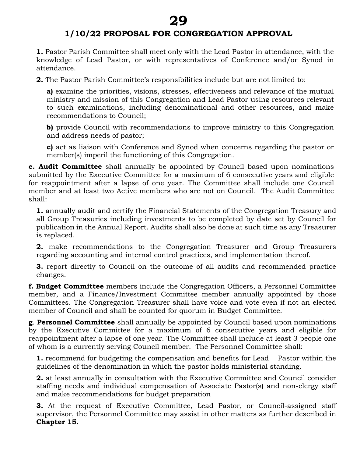# **1/10/22 PROPOSAL FOR CONGREGATION APPROVAL**

**1.** Pastor Parish Committee shall meet only with the Lead Pastor in attendance, with the knowledge of Lead Pastor, or with representatives of Conference and/or Synod in attendance.

**2.** The Pastor Parish Committee's responsibilities include but are not limited to:

**a)** examine the priorities, visions, stresses, effectiveness and relevance of the mutual ministry and mission of this Congregation and Lead Pastor using resources relevant to such examinations, including denominational and other resources, and make recommendations to Council;

**b)** provide Council with recommendations to improve ministry to this Congregation and address needs of pastor;

**c)** act as liaison with Conference and Synod when concerns regarding the pastor or member(s) imperil the functioning of this Congregation.

**e. Audit Committee** shall annually be appointed by Council based upon nominations submitted by the Executive Committee for a maximum of 6 consecutive years and eligible for reappointment after a lapse of one year. The Committee shall include one Council member and at least two Active members who are not on Council. The Audit Committee shall:

**1.** annually audit and certify the Financial Statements of the Congregation Treasury and all Group Treasuries including investments to be completed by date set by Council for publication in the Annual Report. Audits shall also be done at such time as any Treasurer is replaced.

**2.** make recommendations to the Congregation Treasurer and Group Treasurers regarding accounting and internal control practices, and implementation thereof.

**3.** report directly to Council on the outcome of all audits and recommended practice changes.

**f. Budget Committee** members include the Congregation Officers, a Personnel Committee member, and a Finance/Investment Committee member annually appointed by those Committees. The Congregation Treasurer shall have voice and vote even if not an elected member of Council and shall be counted for quorum in Budget Committee.

**g**. **Personnel Committee** shall annually be appointed by Council based upon nominations by the Executive Committee for a maximum of 6 consecutive years and eligible for reappointment after a lapse of one year. The Committee shall include at least 3 people one of whom is a currently serving Council member. The Personnel Committee shall:

**1.** recommend for budgeting the compensation and benefits for Lead Pastor within the guidelines of the denomination in which the pastor holds ministerial standing.

**2.** at least annually in consultation with the Executive Committee and Council consider staffing needs and individual compensation of Associate Pastor(s) and non-clergy staff and make recommendations for budget preparation

**3.** At the request of Executive Committee, Lead Pastor, or Council-assigned staff supervisor, the Personnel Committee may assist in other matters as further described in **Chapter 15.**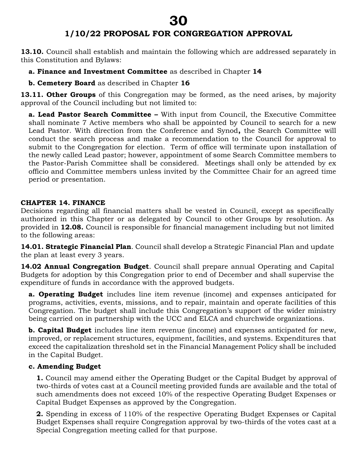# **1/10/22 PROPOSAL FOR CONGREGATION APPROVAL**

**13.10.** Council shall establish and maintain the following which are addressed separately in this Constitution and Bylaws:

**a. Finance and Investment Committee** as described in Chapter **14**

**b. Cemetery Board** as described in Chapter **16**

13.11. Other Groups of this Congregation may be formed, as the need arises, by majority approval of the Council including but not limited to:

**a. Lead Pastor Search Committee –** With input from Council, the Executive Committee shall nominate 7 Active members who shall be appointed by Council to search for a new Lead Pastor. With direction from the Conference and Synod**,** the Search Committee will conduct the search process and make a recommendation to the Council for approval to submit to the Congregation for election. Term of office will terminate upon installation of the newly called Lead pastor; however, appointment of some Search Committee members to the Pastor-Parish Committee shall be considered. Meetings shall only be attended by ex officio and Committee members unless invited by the Committee Chair for an agreed time period or presentation.

#### **CHAPTER 14. FINANCE**

Decisions regarding all financial matters shall be vested in Council, except as specifically authorized in this Chapter or as delegated by Council to other Groups by resolution. As provided in **12.08.** Council is responsible for financial management including but not limited to the following areas:

**14.01. Strategic Financial Plan**. Council shall develop a Strategic Financial Plan and update the plan at least every 3 years.

**14.02 Annual Congregation Budget**. Council shall prepare annual Operating and Capital Budgets for adoption by this Congregation prior to end of December and shall supervise the expenditure of funds in accordance with the approved budgets.

**a. Operating Budget** includes line item revenue (income) and expenses anticipated for programs, activities, events, missions, and to repair, maintain and operate facilities of this Congregation. The budget shall include this Congregation's support of the wider ministry being carried on in partnership with the UCC and ELCA and churchwide organizations.

**b. Capital Budget** includes line item revenue (income) and expenses anticipated for new, improved, or replacement structures, equipment, facilities, and systems. Expenditures that exceed the capitalization threshold set in the Financial Management Policy shall be included in the Capital Budget.

## **c. Amending Budget**

**1.** Council may amend either the Operating Budget or the Capital Budget by approval of two-thirds of votes cast at a Council meeting provided funds are available and the total of such amendments does not exceed 10% of the respective Operating Budget Expenses or Capital Budget Expenses as approved by the Congregation.

**2.** Spending in excess of 110% of the respective Operating Budget Expenses or Capital Budget Expenses shall require Congregation approval by two-thirds of the votes cast at a Special Congregation meeting called for that purpose.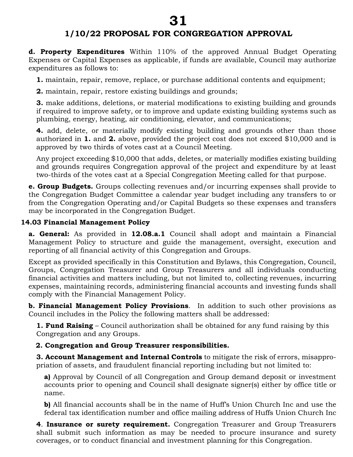# **1/10/22 PROPOSAL FOR CONGREGATION APPROVAL**

**d. Property Expenditures** Within 110% of the approved Annual Budget Operating Expenses or Capital Expenses as applicable, if funds are available, Council may authorize expenditures as follows to:

**1.** maintain, repair, remove, replace, or purchase additional contents and equipment;

**2.** maintain, repair, restore existing buildings and grounds;

**3.** make additions, deletions, or material modifications to existing building and grounds if required to improve safety, or to improve and update existing building systems such as plumbing, energy, heating, air conditioning, elevator, and communications;

**4.** add, delete, or materially modify existing building and grounds other than those authorized in **1.** and **2.** above, provided the project cost does not exceed \$10,000 and is approved by two thirds of votes cast at a Council Meeting.

Any project exceeding \$10,000 that adds, deletes, or materially modifies existing building and grounds requires Congregation approval of the project and expenditure by at least two-thirds of the votes cast at a Special Congregation Meeting called for that purpose.

**e. Group Budgets.** Groups collecting revenues and/or incurring expenses shall provide to the Congregation Budget Committee a calendar year budget including any transfers to or from the Congregation Operating and/or Capital Budgets so these expenses and transfers may be incorporated in the Congregation Budget.

## **14.03 Financial Management Policy**

**a. General:** As provided in **12.08.a.1** Council shall adopt and maintain a Financial Management Policy to structure and guide the management, oversight, execution and reporting of all financial activity of this Congregation and Groups.

Except as provided specifically in this Constitution and Bylaws, this Congregation, Council, Groups, Congregation Treasurer and Group Treasurers and all individuals conducting financial activities and matters including, but not limited to, collecting revenues, incurring expenses, maintaining records, administering financial accounts and investing funds shall comply with the Financial Management Policy.

**b. Financial Management Policy Provisions**. In addition to such other provisions as Council includes in the Policy the following matters shall be addressed:

**1. Fund Raising** – Council authorization shall be obtained for any fund raising by this Congregation and any Groups.

## **2. Congregation and Group Treasurer responsibilities.**

**3. Account Management and Internal Controls** to mitigate the risk of errors, misappropriation of assets, and fraudulent financial reporting including but not limited to:

**a)** Approval by Council of all Congregation and Group demand deposit or investment accounts prior to opening and Council shall designate signer(s) either by office title or name.

**b)** All financial accounts shall be in the name of Huff's Union Church Inc and use the federal tax identification number and office mailing address of Huffs Union Church Inc

**4**. **Insurance or surety requirement.** Congregation Treasurer and Group Treasurers shall submit such information as may be needed to procure insurance and surety coverages, or to conduct financial and investment planning for this Congregation.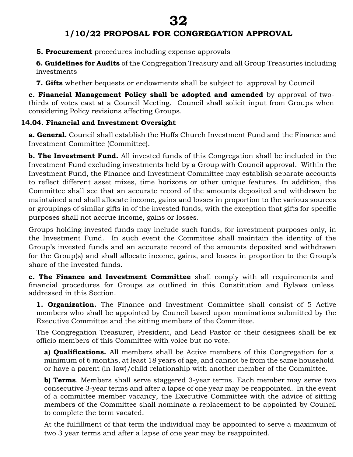**5. Procurement** procedures including expense approvals

**6. Guidelines for Audits** of the Congregation Treasury and all Group Treasuries including investments

**7. Gifts** whether bequests or endowments shall be subject to approval by Council

**c. Financial Management Policy shall be adopted and amended** by approval of twothirds of votes cast at a Council Meeting. Council shall solicit input from Groups when considering Policy revisions affecting Groups.

## **14.04. Financial and Investment Oversight**

**a. General.** Council shall establish the Huffs Church Investment Fund and the Finance and Investment Committee (Committee).

**b. The Investment Fund.** All invested funds of this Congregation shall be included in the Investment Fund excluding investments held by a Group with Council approval.Within the Investment Fund, the Finance and Investment Committee may establish separate accounts to reflect different asset mixes, time horizons or other unique features. In addition, the Committee shall see that an accurate record of the amounts deposited and withdrawn be maintained and shall allocate income, gains and losses in proportion to the various sources or groupings of similar gifts in of the invested funds, with the exception that gifts for specific purposes shall not accrue income, gains or losses.

Groups holding invested funds may include such funds, for investment purposes only, in the Investment Fund. In such event the Committee shall maintain the identity of the Group's invested funds and an accurate record of the amounts deposited and withdrawn for the Group(s) and shall allocate income, gains, and losses in proportion to the Group's share of the invested funds.

**c. The Finance and Investment Committee** shall comply with all requirements and financial procedures for Groups as outlined in this Constitution and Bylaws unless addressed in this Section.

**1. Organization.** The Finance and Investment Committee shall consist of 5 Active members who shall be appointed by Council based upon nominations submitted by the Executive Committee and the sitting members of the Committee.

The Congregation Treasurer, President, and Lead Pastor or their designees shall be ex officio members of this Committee with voice but no vote.

**a) Qualifications.** All members shall be Active members of this Congregation for a minimum of 6 months, at least 18 years of age, and cannot be from the same household or have a parent (in-law)/child relationship with another member of the Committee.

**b) Terms**. Members shall serve staggered 3-year terms. Each member may serve two consecutive 3-year terms and after a lapse of one year may be reappointed. In the event of a committee member vacancy, the Executive Committee with the advice of sitting members of the Committee shall nominate a replacement to be appointed by Council to complete the term vacated.

At the fulfillment of that term the individual may be appointed to serve a maximum of two 3 year terms and after a lapse of one year may be reappointed.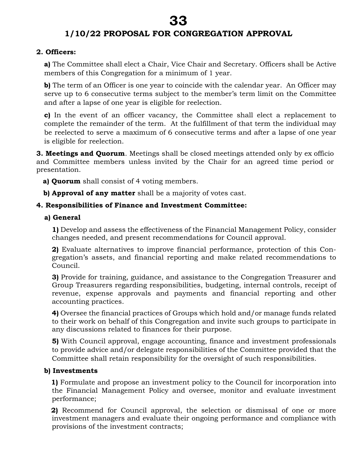## **2. Officers:**

**a)** The Committee shall elect a Chair, Vice Chair and Secretary. Officers shall be Active members of this Congregation for a minimum of 1 year.

**b**) The term of an Officer is one year to coincide with the calendar year. An Officer may serve up to 6 consecutive terms subject to the member's term limit on the Committee and after a lapse of one year is eligible for reelection.

**c)** In the event of an officer vacancy, the Committee shall elect a replacement to complete the remainder of the term. At the fulfillment of that term the individual may be reelected to serve a maximum of 6 consecutive terms and after a lapse of one year is eligible for reelection.

**3. Meetings and Quorum**. Meetings shall be closed meetings attended only by ex officio and Committee members unless invited by the Chair for an agreed time period or presentation.

- **a) Quorum** shall consist of 4 voting members.
- **b) Approval of any matter** shall be a majority of votes cast.

## **4. Responsibilities of Finance and Investment Committee:**

#### **a) General**

**1)** Develop and assess the effectiveness of the Financial Management Policy, consider changes needed, and present recommendations for Council approval.

**2)** Evaluate alternatives to improve financial performance, protection of this Congregation's assets, and financial reporting and make related recommendations to Council.

**3)** Provide for training, guidance, and assistance to the Congregation Treasurer and Group Treasurers regarding responsibilities, budgeting, internal controls, receipt of revenue, expense approvals and payments and financial reporting and other accounting practices.

**4)** Oversee the financial practices of Groups which hold and/or manage funds related to their work on behalf of this Congregation and invite such groups to participate in any discussions related to finances for their purpose.

**5)** With Council approval, engage accounting, finance and investment professionals to provide advice and/or delegate responsibilities of the Committee provided that the Committee shall retain responsibility for the oversight of such responsibilities.

## **b) Investments**

 **1)** Formulate and propose an investment policy to the Council for incorporation into the Financial Management Policy and oversee, monitor and evaluate investment performance;

 **2)** Recommend for Council approval, the selection or dismissal of one or more investment managers and evaluate their ongoing performance and compliance with provisions of the investment contracts;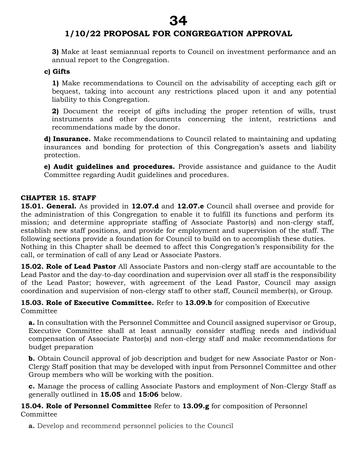**3)** Make at least semiannual reports to Council on investment performance and an annual report to the Congregation.

#### **c) Gifts**

**1)** Make recommendations to Council on the advisability of accepting each gift or bequest, taking into account any restrictions placed upon it and any potential liability to this Congregation.

**2)** Document the receipt of gifts including the proper retention of wills, trust instruments and other documents concerning the intent, restrictions and recommendations made by the donor.

**d) Insurance.** Make recommendations to Council related to maintaining and updating insurances and bonding for protection of this Congregation's assets and liability protection.

**e) Audit guidelines and procedures.** Provide assistance and guidance to the Audit Committee regarding Audit guidelines and procedures.

#### **CHAPTER 15. STAFF**

**15.01. General.** As provided in **12.07.d** and **12.07.e** Council shall oversee and provide for the administration of this Congregation to enable it to fulfill its functions and perform its mission; and determine appropriate staffing of Associate Pastor(s) and non-clergy staff, establish new staff positions, and provide for employment and supervision of the staff. The following sections provide a foundation for Council to build on to accomplish these duties. Nothing in this Chapter shall be deemed to affect this Congregation's responsibility for the call, or termination of call of any Lead or Associate Pastors.

**15.02. Role of Lead Pastor** All Associate Pastors and non-clergy staff are accountable to the Lead Pastor and the day-to-day coordination and supervision over all staff is the responsibility of the Lead Pastor; however, with agreement of the Lead Pastor, Council may assign coordination and supervision of non-clergy staff to other staff, Council member(s), or Group.

**15.03. Role of Executive Committee.** Refer to **13.09.b** for composition of Executive **Committee** 

**a.** In consultation with the Personnel Committee and Council assigned supervisor or Group, Executive Committee shall at least annually consider staffing needs and individual compensation of Associate Pastor(s) and non-clergy staff and make recommendations for budget preparation

**b.** Obtain Council approval of job description and budget for new Associate Pastor or Non-Clergy Staff position that may be developed with input from Personnel Committee and other Group members who will be working with the position.

**c.** Manage the process of calling Associate Pastors and employment of Non-Clergy Staff as generally outlined in **15.05** and **15:06** below.

**15.04. Role of Personnel Committee** Refer to **13.09.g** for composition of Personnel Committee

**a.** Develop and recommend personnel policies to the Council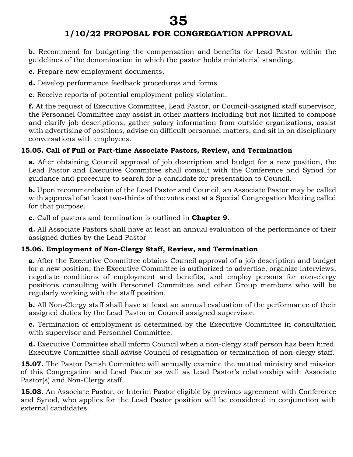**b.** Recommend for budgeting the compensation and benefits for Lead Pastor within the guidelines of the denomination in which the pastor holds ministerial standing.

**c.** Prepare new employment documents,

**d.** Develop performance feedback procedures and forms

**e**. Receive reports of potential employment policy violation.

**f.** At the request of Executive Committee, Lead Pastor, or Council-assigned staff supervisor, the Personnel Committee may assist in other matters including but not limited to compose and clarify job descriptions, gather salary information from outside organizations, assist with advertising of positions, advise on difficult personnel matters, and sit in on disciplinary conversations with employees.

## **15.05. Call of Full or Part-time Associate Pastors, Review, and Termination**

**a.** After obtaining Council approval of job description and budget for a new position, the Lead Pastor and Executive Committee shall consult with the Conference and Synod for guidance and procedure to search for a candidate for presentation to Council.

**b.** Upon recommendation of the Lead Pastor and Council, an Associate Pastor may be called with approval of at least two-thirds of the votes cast at a Special Congregation Meeting called for that purpose.

**c.** Call of pastors and termination is outlined in **Chapter 9.**

**d.** All Associate Pastors shall have at least an annual evaluation of the performance of their assigned duties by the Lead Pastor

## **15.06. Employment of Non-Clergy Staff, Review, and Termination**

**a.** After the Executive Committee obtains Council approval of a job description and budget for a new position, the Executive Committee is authorized to advertise, organize interviews, negotiate conditions of employment and benefits, and employ persons for non-clergy positions consulting with Personnel Committee and other Group members who will be regularly working with the staff position.

**b.** All Non-Clergy staff shall have at least an annual evaluation of the performance of their assigned duties by the Lead Pastor or Council assigned supervisor.

**c.** Termination of employment is determined by the Executive Committee in consultation with supervisor and Personnel Committee.

**d.** Executive Committee shall inform Council when a non-clergy staff person has been hired. Executive Committee shall advise Council of resignation or termination of non-clergy staff.

**15.07.** The Pastor Parish Committee will annually examine the mutual ministry and mission of this Congregation and Lead Pastor as well as Lead Pastor's relationship with Associate Pastor(s) and Non-Clergy staff.

15.08. An Associate Pastor, or Interim Pastor eligible by previous agreement with Conference and Synod, who applies for the Lead Pastor position will be considered in conjunction with external candidates.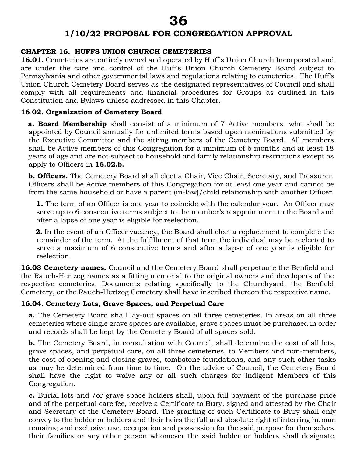#### **CHAPTER 16. HUFFS UNION CHURCH CEMETERIES**

**16.01.** Cemeteries are entirely owned and operated by Huff's Union Church Incorporated and are under the care and control of the Huff's Union Church Cemetery Board subject to Pennsylvania and other governmental laws and regulations relating to cemeteries. The Huff's Union Church Cemetery Board serves as the designated representatives of Council and shall comply with all requirements and financial procedures for Groups as outlined in this Constitution and Bylaws unless addressed in this Chapter.

#### **16**.**02. Organization of Cemetery Board**

 **a. Board Membership** shall consist of a minimum of 7 Active members who shall be appointed by Council annually for unlimited terms based upon nominations submitted by the Executive Committee and the sitting members of the Cemetery Board. All members shall be Active members of this Congregation for a minimum of 6 months and at least 18 years of age and are not subject to household and family relationship restrictions except as apply to Officers in **16.02.b.**

**b. Officers.** The Cemetery Board shall elect a Chair, Vice Chair, Secretary, and Treasurer. Officers shall be Active members of this Congregation for at least one year and cannot be from the same household or have a parent (in-law)/child relationship with another Officer.

**1.** The term of an Officer is one year to coincide with the calendar year. An Officer may serve up to 6 consecutive terms subject to the member's reappointment to the Board and after a lapse of one year is eligible for reelection.

 **2.** In the event of an Officer vacancy, the Board shall elect a replacement to complete the remainder of the term. At the fulfillment of that term the individual may be reelected to serve a maximum of 6 consecutive terms and after a lapse of one year is eligible for reelection.

**16.03 Cemetery names.** Council and the Cemetery Board shall perpetuate the Benfield and the Rauch-Hertzog names as a fitting memorial to the original owners and developers of the respective cemeteries. Documents relating specifically to the Churchyard, the Benfield Cemetery, or the Rauch-Hertzog Cemetery shall have inscribed thereon the respective name.

## **16.04**. **Cemetery Lots, Grave Spaces, and Perpetual Care**

**a.** The Cemetery Board shall lay-out spaces on all three cemeteries. In areas on all three cemeteries where single grave spaces are available, grave spaces must be purchased in order and records shall be kept by the Cemetery Board of all spaces sold.

**b.** The Cemetery Board, in consultation with Council, shall determine the cost of all lots, grave spaces, and perpetual care, on all three cemeteries, to Members and non-members, the cost of opening and closing graves, tombstone foundations, and any such other tasks as may be determined from time to time. On the advice of Council, the Cemetery Board shall have the right to waive any or all such charges for indigent Members of this Congregation.

**c.** Burial lots and /or grave space holders shall, upon full payment of the purchase price and of the perpetual care fee, receive a Certificate to Bury, signed and attested by the Chair and Secretary of the Cemetery Board. The granting of such Certificate to Bury shall only convey to the holder or holders and their heirs the full and absolute right of interring human remains; and exclusive use, occupation and possession for the said purpose for themselves, their families or any other person whomever the said holder or holders shall designate,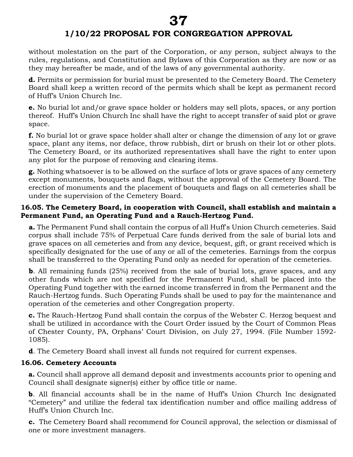without molestation on the part of the Corporation, or any person, subject always to the rules, regulations, and Constitution and Bylaws of this Corporation as they are now or as they may hereafter be made, and of the laws of any governmental authority.

**d.** Permits or permission for burial must be presented to the Cemetery Board. The Cemetery Board shall keep a written record of the permits which shall be kept as permanent record of Huff's Union Church Inc.

**e.** No burial lot and/or grave space holder or holders may sell plots, spaces, or any portion thereof. Huff's Union Church Inc shall have the right to accept transfer of said plot or grave space.

**f.** No burial lot or grave space holder shall alter or change the dimension of any lot or grave space, plant any items, nor deface, throw rubbish, dirt or brush on their lot or other plots. The Cemetery Board, or its authorized representatives shall have the right to enter upon any plot for the purpose of removing and clearing items.

**g.** Nothing whatsoever is to be allowed on the surface of lots or grave spaces of any cemetery except monuments, bouquets and flags, without the approval of the Cemetery Board. The erection of monuments and the placement of bouquets and flags on all cemeteries shall be under the supervision of the Cemetery Board.

#### **16.05. The Cemetery Board, in cooperation with Council, shall establish and maintain a Permanent Fund, an Operating Fund and a Rauch-Hertzog Fund.**

**a.** The Permanent Fund shall contain the corpus of all Huff's Union Church cemeteries. Said corpus shall include 75% of Perpetual Care funds derived from the sale of burial lots and grave spaces on all cemeteries and from any device, bequest, gift, or grant received which is specifically designated for the use of any or all of the cemeteries. Earnings from the corpus shall be transferred to the Operating Fund only as needed for operation of the cemeteries.

**b**. All remaining funds (25%) received from the sale of burial lots, grave spaces, and any other funds which are not specified for the Permanent Fund, shall be placed into the Operating Fund together with the earned income transferred in from the Permanent and the Rauch-Hertzog funds. Such Operating Funds shall be used to pay for the maintenance and operation of the cemeteries and other Congregation property.

**c.** The Rauch-Hertzog Fund shall contain the corpus of the Webster C. Herzog bequest and shall be utilized in accordance with the Court Order issued by the Court of Common Pleas of Chester County, PA, Orphans' Court Division, on July 27, 1994. (File Number 1592- 1085).

**d**. The Cemetery Board shall invest all funds not required for current expenses.

#### **16.06. Cemetery Accounts**

**a.** Council shall approve all demand deposit and investments accounts prior to opening and Council shall designate signer(s) either by office title or name.

**b**. All financial accounts shall be in the name of Huff's Union Church Inc designated "Cemetery" and utilize the federal tax identification number and office mailing address of Huff's Union Church Inc.

**c.** The Cemetery Board shall recommend for Council approval, the selection or dismissal of one or more investment managers.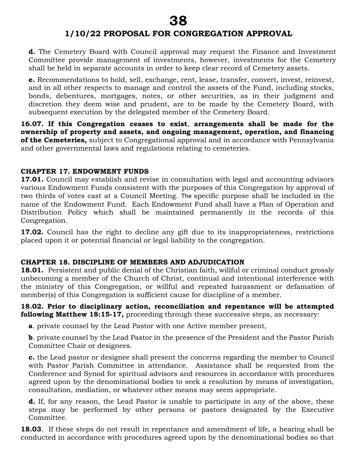**d.** The Cemetery Board with Council approval may request the Finance and Investment Committee provide management of investments, however, investments for the Cemetery shall be held in separate accounts in order to keep clear record of Cemetery assets.

**e.** Recommendations to hold, sell, exchange, rent, lease, transfer, convert, invest, reinvest, and in all other respects to manage and control the assets of the Fund, including stocks, bonds, debentures, mortgages, notes, or other securities, as in their judgment and discretion they deem wise and prudent, are to be made by the Cemetery Board, with subsequent execution by the delegated member of the Cemetery Board.

**16.07. If this Congregation ceases to exist**, **arrangements shall be made for the ownership of property and assets, and ongoing management, operation, and financing of the Cemeteries,** subject to Congregational approval and in accordance with Pennsylvania and other governmental laws and regulations relating to cemeteries.

#### **CHAPTER 17. ENDOWMENT FUNDS**

**17.01.** Council may establish and revise in consultation with legal and accounting advisors various Endowment Funds consistent with the purposes of this Congregation by approval of two thirds of votes cast at a Council Meeting. The specific purpose shall be included in the name of the Endowment Fund. Each Endowment Fund shall have a Plan of Operation and Distribution Policy which shall be maintained permanently in the records of this Congregation.

**17.02.** Council has the right to decline any gift due to its inappropriateness, restrictions placed upon it or potential financial or legal liability to the congregation.

#### **CHAPTER 18. DISCIPLINE OF MEMBERS AND ADJUDICATION**

**18.01.** Persistent and public denial of the Christian faith, willful or criminal conduct grossly unbecoming a member of the Church of Christ, continual and intentional interference with the ministry of this Congregation, or willful and repeated harassment or defamation of member(s) of this Congregation is sufficient cause for discipline of a member.

**18.02. Prior to disciplinary action, reconciliation and repentance will be attempted following Matthew 18:15-17,** proceeding through these successive steps, as necessary:

**a**. private counsel by the Lead Pastor with one Active member present,

**b**. private counsel by the Lead Pastor in the presence of the President and the Pastor Parish Committee Chair or designees.

**c.** the Lead pastor or designee shall present the concerns regarding the member to Council with Pastor Parish Committee in attendance. Assistance shall be requested from the Conference and Synod for spiritual advisors and resources in accordance with procedures agreed upon by the denominational bodies to seek a resolution by means of investigation, consultation, mediation, or whatever other means may seem appropriate.

**d.** If, for any reason, the Lead Pastor is unable to participate in any of the above, these steps may be performed by other persons or pastors designated by the Executive Committee.

**18.03**. If these steps do not result in repentance and amendment of life, a hearing shall be conducted in accordance with procedures agreed upon by the denominational bodies so that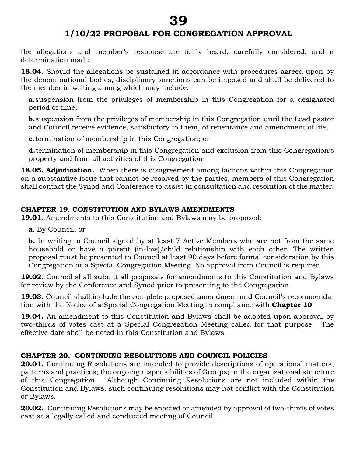# **1/10/22 PROPOSAL FOR CONGREGATION APPROVAL**

the allegations and member's response are fairly heard, carefully considered, and a determination made.

**18.04**. Should the allegations be sustained in accordance with procedures agreed upon by the denominational bodies, disciplinary sanctions can be imposed and shall be delivered to the member in writing among which may include:

**a.**suspension from the privileges of membership in this Congregation for a designated period of time;

**b.**suspension from the privileges of membership in this Congregation until the Lead pastor and Council receive evidence, satisfactory to them, of repentance and amendment of life;

**c.**termination of membership in this Congregation; or

**d.**termination of membership in this Congregation and exclusion from this Congregation's property and from all activities of this Congregation.

**18.05. Adjudication.** When there is disagreement among factions within this Congregation on a substantive issue that cannot be resolved by the parties, members of this Congregation shall contact the Synod and Conference to assist in consultation and resolution of the matter.

## **CHAPTER 19. CONSTITUTION AND BYLAWS AMENDMENTS**

**19.01.** Amendments to this Constitution and Bylaws may be proposed:

**a**. By Council, or

**b.** In writing to Council signed by at least 7 Active Members who are not from the same household or have a parent (in-law)/child relationship with each other. The written proposal must be presented to Council at least 90 days before formal consideration by this Congregation at a Special Congregation Meeting. No approval from Council is required.

**19.02.** Council shall submit all proposals for amendments to this Constitution and Bylaws for review by the Conference and Synod prior to presenting to the Congregation.

**19.03.** Council shall include the complete proposed amendment and Council's recommendation with the Notice of a Special Congregation Meeting in compliance with **Chapter 10**.

**19.04.** An amendment to this Constitution and Bylaws shall be adopted upon approval by two-thirds of votes cast at a Special Congregation Meeting called for that purpose. The effective date shall be noted in this Constitution and Bylaws.

## **CHAPTER 20. CONTINUING RESOLUTIONS AND COUNCIL POLICIES**

**20.01.** Continuing Resolutions are intended to provide descriptions of operational matters, patterns and practices; the ongoing responsibilities of Groups; or the organizational structure of this Congregation. Although Continuing Resolutions are not included within the Constitution and Bylaws, such continuing resolutions may not conflict with the Constitution or Bylaws.

**20.02.** Continuing Resolutions may be enacted or amended by approval of two-thirds of votes cast at a legally called and conducted meeting of Council.